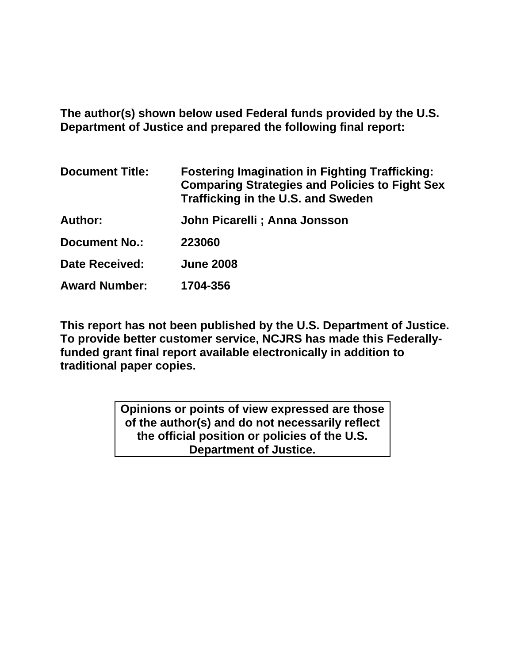**The author(s) shown below used Federal funds provided by the U.S. Department of Justice and prepared the following final report:** 

| <b>Document Title:</b> | <b>Fostering Imagination in Fighting Trafficking:</b><br><b>Comparing Strategies and Policies to Fight Sex</b><br><b>Trafficking in the U.S. and Sweden</b> |
|------------------------|-------------------------------------------------------------------------------------------------------------------------------------------------------------|
| <b>Author:</b>         | John Picarelli ; Anna Jonsson                                                                                                                               |
| <b>Document No.:</b>   | 223060                                                                                                                                                      |
| <b>Date Received:</b>  | <b>June 2008</b>                                                                                                                                            |
| <b>Award Number:</b>   | 1704-356                                                                                                                                                    |

**This report has not been published by the U.S. Department of Justice. To provide better customer service, NCJRS has made this Federallyfunded grant final report available electronically in addition to traditional paper copies.**

> **Opinions or points of view expressed are those of the author(s) and do not necessarily reflect the official position or policies of the U.S. Department of Justice.**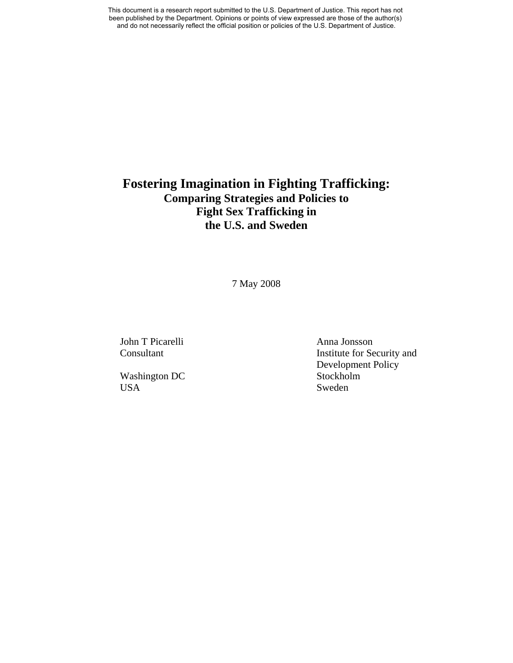# **Fostering Imagination in Fighting Trafficking: Comparing Strategies and Policies to Fight Sex Trafficking in the U.S. and Sweden**

7 May 2008

John T Picarelli Anna Jonsson

Washington DC Stockholm USA Sweden

Consultant Institute for Security and Development Policy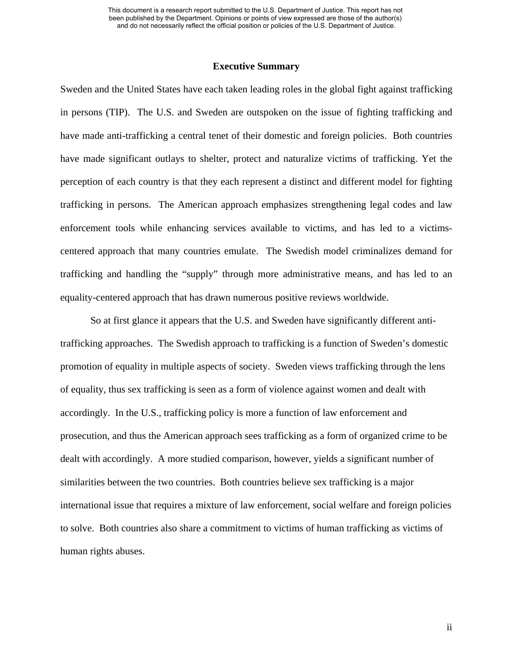### **Executive Summary**

Sweden and the United States have each taken leading roles in the global fight against trafficking in persons (TIP). The U.S. and Sweden are outspoken on the issue of fighting trafficking and have made anti-trafficking a central tenet of their domestic and foreign policies. Both countries have made significant outlays to shelter, protect and naturalize victims of trafficking. Yet the perception of each country is that they each represent a distinct and different model for fighting trafficking in persons. The American approach emphasizes strengthening legal codes and law enforcement tools while enhancing services available to victims, and has led to a victimscentered approach that many countries emulate. The Swedish model criminalizes demand for trafficking and handling the "supply" through more administrative means, and has led to an equality-centered approach that has drawn numerous positive reviews worldwide.

 So at first glance it appears that the U.S. and Sweden have significantly different antitrafficking approaches. The Swedish approach to trafficking is a function of Sweden's domestic promotion of equality in multiple aspects of society. Sweden views trafficking through the lens of equality, thus sex trafficking is seen as a form of violence against women and dealt with accordingly. In the U.S., trafficking policy is more a function of law enforcement and prosecution, and thus the American approach sees trafficking as a form of organized crime to be dealt with accordingly. A more studied comparison, however, yields a significant number of similarities between the two countries. Both countries believe sex trafficking is a major international issue that requires a mixture of law enforcement, social welfare and foreign policies to solve. Both countries also share a commitment to victims of human trafficking as victims of human rights abuses.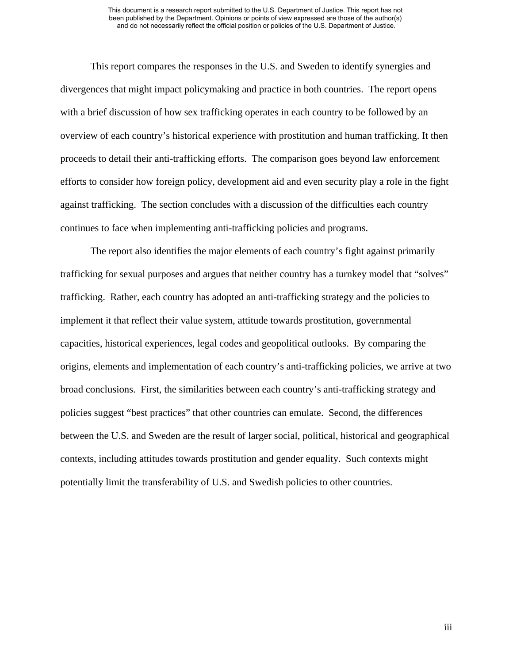This report compares the responses in the U.S. and Sweden to identify synergies and divergences that might impact policymaking and practice in both countries. The report opens with a brief discussion of how sex trafficking operates in each country to be followed by an overview of each country's historical experience with prostitution and human trafficking. It then proceeds to detail their anti-trafficking efforts. The comparison goes beyond law enforcement efforts to consider how foreign policy, development aid and even security play a role in the fight against trafficking. The section concludes with a discussion of the difficulties each country continues to face when implementing anti-trafficking policies and programs.

The report also identifies the major elements of each country's fight against primarily trafficking for sexual purposes and argues that neither country has a turnkey model that "solves" trafficking. Rather, each country has adopted an anti-trafficking strategy and the policies to implement it that reflect their value system, attitude towards prostitution, governmental capacities, historical experiences, legal codes and geopolitical outlooks. By comparing the origins, elements and implementation of each country's anti-trafficking policies, we arrive at two broad conclusions. First, the similarities between each country's anti-trafficking strategy and policies suggest "best practices" that other countries can emulate. Second, the differences between the U.S. and Sweden are the result of larger social, political, historical and geographical contexts, including attitudes towards prostitution and gender equality. Such contexts might potentially limit the transferability of U.S. and Swedish policies to other countries.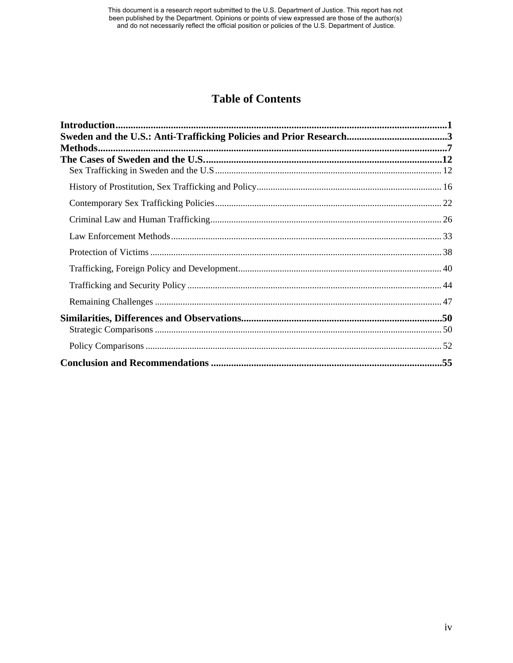# **Table of Contents**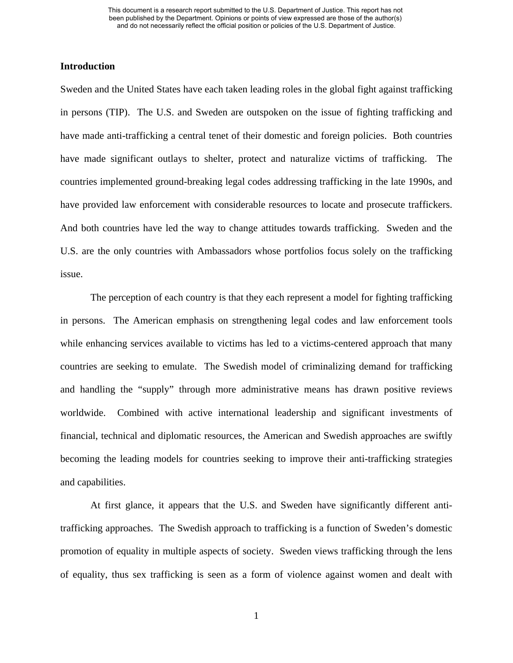# **Introduction**

Sweden and the United States have each taken leading roles in the global fight against trafficking in persons (TIP). The U.S. and Sweden are outspoken on the issue of fighting trafficking and have made anti-trafficking a central tenet of their domestic and foreign policies. Both countries have made significant outlays to shelter, protect and naturalize victims of trafficking. The countries implemented ground-breaking legal codes addressing trafficking in the late 1990s, and have provided law enforcement with considerable resources to locate and prosecute traffickers. And both countries have led the way to change attitudes towards trafficking. Sweden and the U.S. are the only countries with Ambassadors whose portfolios focus solely on the trafficking issue.

The perception of each country is that they each represent a model for fighting trafficking in persons. The American emphasis on strengthening legal codes and law enforcement tools while enhancing services available to victims has led to a victims-centered approach that many countries are seeking to emulate. The Swedish model of criminalizing demand for trafficking and handling the "supply" through more administrative means has drawn positive reviews worldwide. Combined with active international leadership and significant investments of financial, technical and diplomatic resources, the American and Swedish approaches are swiftly becoming the leading models for countries seeking to improve their anti-trafficking strategies and capabilities.

At first glance, it appears that the U.S. and Sweden have significantly different antitrafficking approaches. The Swedish approach to trafficking is a function of Sweden's domestic promotion of equality in multiple aspects of society. Sweden views trafficking through the lens of equality, thus sex trafficking is seen as a form of violence against women and dealt with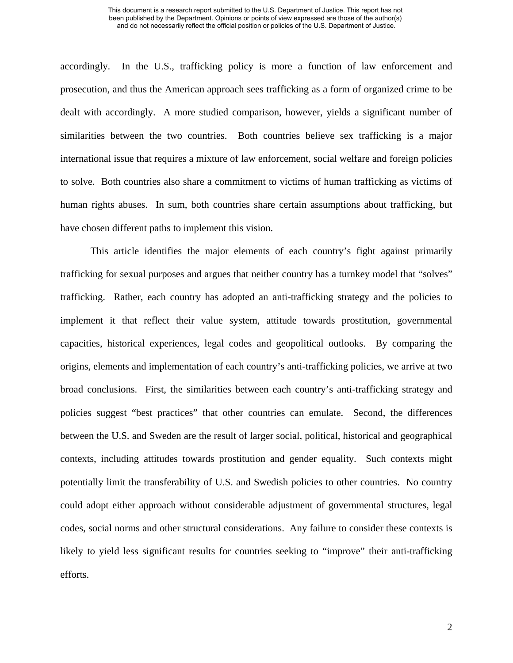accordingly. In the U.S., trafficking policy is more a function of law enforcement and prosecution, and thus the American approach sees trafficking as a form of organized crime to be dealt with accordingly. A more studied comparison, however, yields a significant number of similarities between the two countries. Both countries believe sex trafficking is a major international issue that requires a mixture of law enforcement, social welfare and foreign policies to solve. Both countries also share a commitment to victims of human trafficking as victims of human rights abuses. In sum, both countries share certain assumptions about trafficking, but have chosen different paths to implement this vision.

This article identifies the major elements of each country's fight against primarily trafficking for sexual purposes and argues that neither country has a turnkey model that "solves" trafficking. Rather, each country has adopted an anti-trafficking strategy and the policies to implement it that reflect their value system, attitude towards prostitution, governmental capacities, historical experiences, legal codes and geopolitical outlooks. By comparing the origins, elements and implementation of each country's anti-trafficking policies, we arrive at two broad conclusions. First, the similarities between each country's anti-trafficking strategy and policies suggest "best practices" that other countries can emulate. Second, the differences between the U.S. and Sweden are the result of larger social, political, historical and geographical contexts, including attitudes towards prostitution and gender equality. Such contexts might potentially limit the transferability of U.S. and Swedish policies to other countries. No country could adopt either approach without considerable adjustment of governmental structures, legal codes, social norms and other structural considerations. Any failure to consider these contexts is likely to yield less significant results for countries seeking to "improve" their anti-trafficking efforts.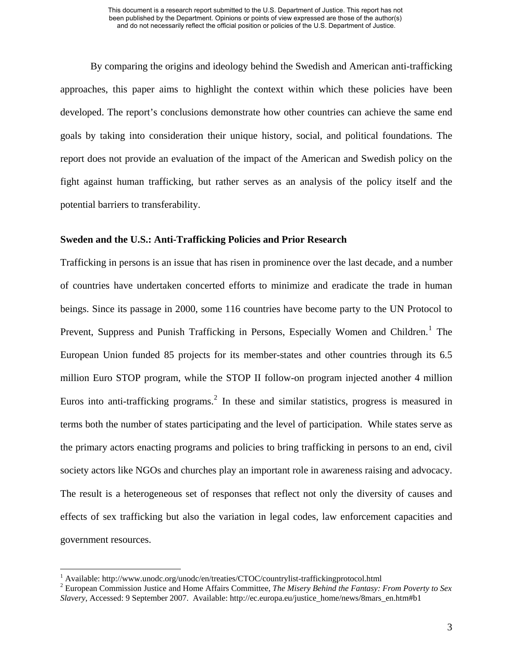By comparing the origins and ideology behind the Swedish and American anti-trafficking approaches, this paper aims to highlight the context within which these policies have been developed. The report's conclusions demonstrate how other countries can achieve the same end goals by taking into consideration their unique history, social, and political foundations. The report does not provide an evaluation of the impact of the American and Swedish policy on the fight against human trafficking, but rather serves as an analysis of the policy itself and the potential barriers to transferability.

# **Sweden and the U.S.: Anti-Trafficking Policies and Prior Research**

Trafficking in persons is an issue that has risen in prominence over the last decade, and a number of countries have undertaken concerted efforts to minimize and eradicate the trade in human beings. Since its passage in 2000, some 116 countries have become party to the UN Protocol to Prevent, Suppress and Punish Trafficking in Persons, Especially Women and Children.<sup>[1](#page-7-0)</sup> The European Union funded 85 projects for its member-states and other countries through its 6.5 million Euro STOP program, while the STOP II follow-on program injected another 4 million Euros into anti-trafficking programs.<sup>[2](#page-7-1)</sup> In these and similar statistics, progress is measured in terms both the number of states participating and the level of participation. While states serve as the primary actors enacting programs and policies to bring trafficking in persons to an end, civil society actors like NGOs and churches play an important role in awareness raising and advocacy. The result is a heterogeneous set of responses that reflect not only the diversity of causes and effects of sex trafficking but also the variation in legal codes, law enforcement capacities and government resources.

<span id="page-7-0"></span><sup>&</sup>lt;sup>1</sup> Available: http://www.unodc.org/unodc/en/treaties/CTOC/countrylist-traffickingprotocol.html<br><sup>2</sup> Europeen Commission Justice and Home Affairs Committee. The Misery Behind the Eantasy.

<span id="page-7-1"></span>European Commission Justice and Home Affairs Committee, *The Misery Behind the Fantasy: From Poverty to Sex Slavery,* Accessed: 9 September 2007. Available: http://ec.europa.eu/justice\_home/news/8mars\_en.htm#b1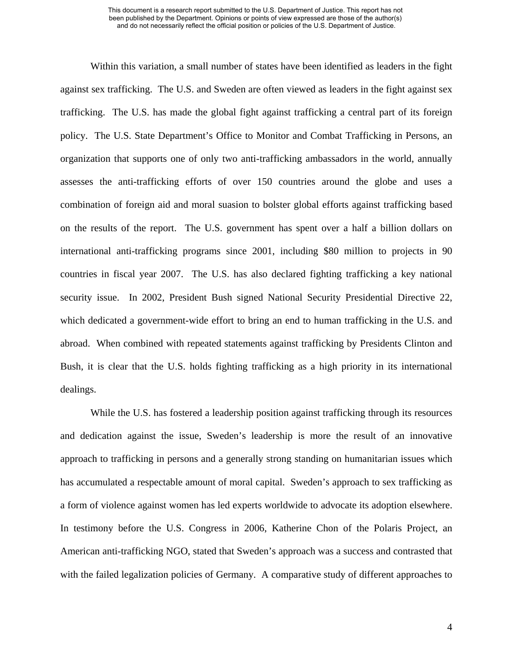Within this variation, a small number of states have been identified as leaders in the fight against sex trafficking. The U.S. and Sweden are often viewed as leaders in the fight against sex trafficking. The U.S. has made the global fight against trafficking a central part of its foreign policy. The U.S. State Department's Office to Monitor and Combat Trafficking in Persons, an organization that supports one of only two anti-trafficking ambassadors in the world, annually assesses the anti-trafficking efforts of over 150 countries around the globe and uses a combination of foreign aid and moral suasion to bolster global efforts against trafficking based on the results of the report. The U.S. government has spent over a half a billion dollars on international anti-trafficking programs since 2001, including \$80 million to projects in 90 countries in fiscal year 2007. The U.S. has also declared fighting trafficking a key national security issue. In 2002, President Bush signed National Security Presidential Directive 22, which dedicated a government-wide effort to bring an end to human trafficking in the U.S. and abroad. When combined with repeated statements against trafficking by Presidents Clinton and Bush, it is clear that the U.S. holds fighting trafficking as a high priority in its international dealings.

While the U.S. has fostered a leadership position against trafficking through its resources and dedication against the issue, Sweden's leadership is more the result of an innovative approach to trafficking in persons and a generally strong standing on humanitarian issues which has accumulated a respectable amount of moral capital. Sweden's approach to sex trafficking as a form of violence against women has led experts worldwide to advocate its adoption elsewhere. In testimony before the U.S. Congress in 2006, Katherine Chon of the Polaris Project, an American anti-trafficking NGO, stated that Sweden's approach was a success and contrasted that with the failed legalization policies of Germany. A comparative study of different approaches to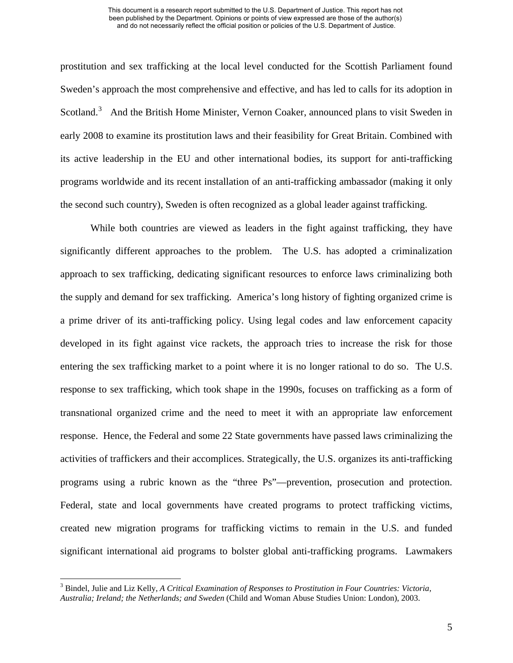prostitution and sex trafficking at the local level conducted for the Scottish Parliament found Sweden's approach the most comprehensive and effective, and has led to calls for its adoption in Scotland.<sup>[3](#page-9-0)</sup> And the British Home Minister, Vernon Coaker, announced plans to visit Sweden in early 2008 to examine its prostitution laws and their feasibility for Great Britain. Combined with its active leadership in the EU and other international bodies, its support for anti-trafficking programs worldwide and its recent installation of an anti-trafficking ambassador (making it only the second such country), Sweden is often recognized as a global leader against trafficking.

While both countries are viewed as leaders in the fight against trafficking, they have significantly different approaches to the problem. The U.S. has adopted a criminalization approach to sex trafficking, dedicating significant resources to enforce laws criminalizing both the supply and demand for sex trafficking. America's long history of fighting organized crime is a prime driver of its anti-trafficking policy. Using legal codes and law enforcement capacity developed in its fight against vice rackets, the approach tries to increase the risk for those entering the sex trafficking market to a point where it is no longer rational to do so. The U.S. response to sex trafficking, which took shape in the 1990s, focuses on trafficking as a form of transnational organized crime and the need to meet it with an appropriate law enforcement response. Hence, the Federal and some 22 State governments have passed laws criminalizing the activities of traffickers and their accomplices. Strategically, the U.S. organizes its anti-trafficking programs using a rubric known as the "three Ps"—prevention, prosecution and protection. Federal, state and local governments have created programs to protect trafficking victims, created new migration programs for trafficking victims to remain in the U.S. and funded significant international aid programs to bolster global anti-trafficking programs. Lawmakers

<span id="page-9-0"></span><sup>3</sup> Bindel, Julie and Liz Kelly, *A Critical Examination of Responses to Prostitution in Four Countries: Victoria, Australia; Ireland; the Netherlands; and Sweden* (Child and Woman Abuse Studies Union: London), 2003.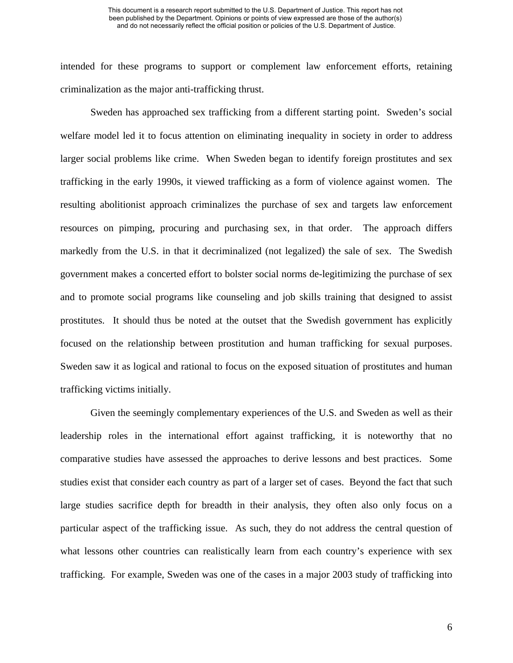intended for these programs to support or complement law enforcement efforts, retaining criminalization as the major anti-trafficking thrust.

Sweden has approached sex trafficking from a different starting point. Sweden's social welfare model led it to focus attention on eliminating inequality in society in order to address larger social problems like crime. When Sweden began to identify foreign prostitutes and sex trafficking in the early 1990s, it viewed trafficking as a form of violence against women. The resulting abolitionist approach criminalizes the purchase of sex and targets law enforcement resources on pimping, procuring and purchasing sex, in that order. The approach differs markedly from the U.S. in that it decriminalized (not legalized) the sale of sex. The Swedish government makes a concerted effort to bolster social norms de-legitimizing the purchase of sex and to promote social programs like counseling and job skills training that designed to assist prostitutes. It should thus be noted at the outset that the Swedish government has explicitly focused on the relationship between prostitution and human trafficking for sexual purposes. Sweden saw it as logical and rational to focus on the exposed situation of prostitutes and human trafficking victims initially.

 Given the seemingly complementary experiences of the U.S. and Sweden as well as their leadership roles in the international effort against trafficking, it is noteworthy that no comparative studies have assessed the approaches to derive lessons and best practices. Some studies exist that consider each country as part of a larger set of cases. Beyond the fact that such large studies sacrifice depth for breadth in their analysis, they often also only focus on a particular aspect of the trafficking issue. As such, they do not address the central question of what lessons other countries can realistically learn from each country's experience with sex trafficking. For example, Sweden was one of the cases in a major 2003 study of trafficking into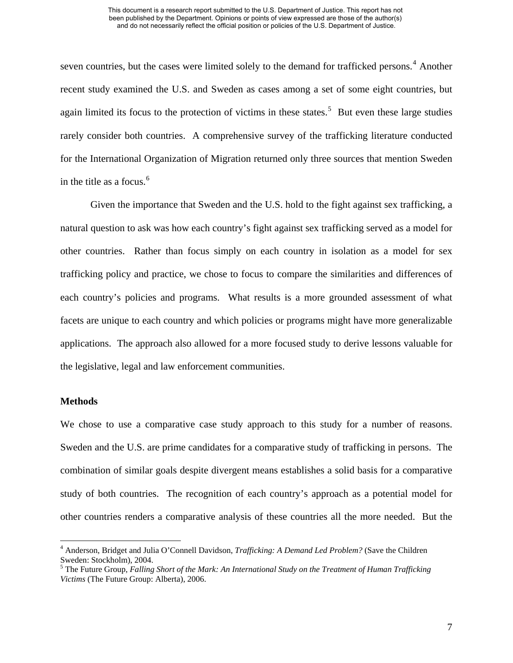seven countries, but the cases were limited solely to the demand for trafficked persons.<sup>[4](#page-11-0)</sup> Another recent study examined the U.S. and Sweden as cases among a set of some eight countries, but again limited its focus to the protection of victims in these states.<sup>[5](#page-11-1)</sup> But even these large studies rarely consider both countries. A comprehensive survey of the trafficking literature conducted for the International Organization of Migration returned only three sources that mention Sweden in the title as a focus. $<sup>6</sup>$  $<sup>6</sup>$  $<sup>6</sup>$ </sup>

 Given the importance that Sweden and the U.S. hold to the fight against sex trafficking, a natural question to ask was how each country's fight against sex trafficking served as a model for other countries. Rather than focus simply on each country in isolation as a model for sex trafficking policy and practice, we chose to focus to compare the similarities and differences of each country's policies and programs. What results is a more grounded assessment of what facets are unique to each country and which policies or programs might have more generalizable applications. The approach also allowed for a more focused study to derive lessons valuable for the legislative, legal and law enforcement communities.

# **Methods**

 $\overline{a}$ 

We chose to use a comparative case study approach to this study for a number of reasons. Sweden and the U.S. are prime candidates for a comparative study of trafficking in persons. The combination of similar goals despite divergent means establishes a solid basis for a comparative study of both countries. The recognition of each country's approach as a potential model for other countries renders a comparative analysis of these countries all the more needed. But the

<span id="page-11-0"></span><sup>4</sup> Anderson, Bridget and Julia O'Connell Davidson, *Trafficking: A Demand Led Problem?* (Save the Children Sweden: Stockholm), 2004.

<span id="page-11-2"></span><span id="page-11-1"></span><sup>&</sup>lt;sup>5</sup> The Future Group, *Falling Short of the Mark: An International Study on the Treatment of Human Trafficking Victims* (The Future Group: Alberta), 2006.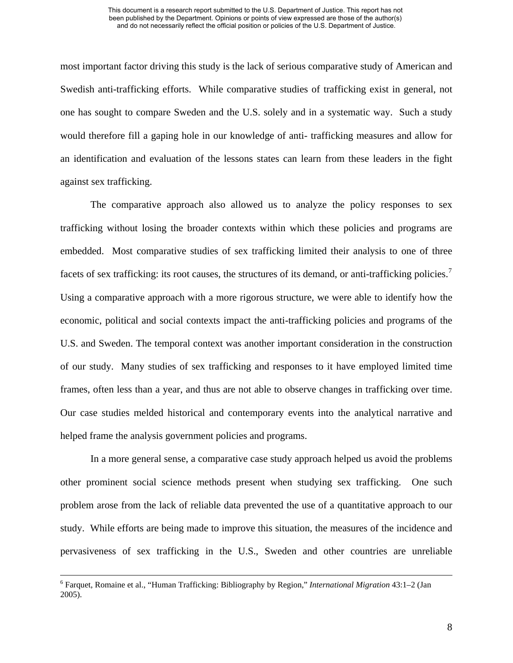most important factor driving this study is the lack of serious comparative study of American and Swedish anti-trafficking efforts. While comparative studies of trafficking exist in general, not one has sought to compare Sweden and the U.S. solely and in a systematic way. Such a study would therefore fill a gaping hole in our knowledge of anti- trafficking measures and allow for an identification and evaluation of the lessons states can learn from these leaders in the fight against sex trafficking.

The comparative approach also allowed us to analyze the policy responses to sex trafficking without losing the broader contexts within which these policies and programs are embedded. Most comparative studies of sex trafficking limited their analysis to one of three facets of sex trafficking: its root causes, the structures of its demand, or anti-trafficking policies.<sup>[7](#page-12-0)</sup> Using a comparative approach with a more rigorous structure, we were able to identify how the economic, political and social contexts impact the anti-trafficking policies and programs of the U.S. and Sweden. The temporal context was another important consideration in the construction of our study. Many studies of sex trafficking and responses to it have employed limited time frames, often less than a year, and thus are not able to observe changes in trafficking over time. Our case studies melded historical and contemporary events into the analytical narrative and helped frame the analysis government policies and programs.

In a more general sense, a comparative case study approach helped us avoid the problems other prominent social science methods present when studying sex trafficking. One such problem arose from the lack of reliable data prevented the use of a quantitative approach to our study. While efforts are being made to improve this situation, the measures of the incidence and pervasiveness of sex trafficking in the U.S., Sweden and other countries are unreliable

<span id="page-12-0"></span> $\frac{1}{6}$  Farquet, Romaine et al., "Human Trafficking: Bibliography by Region," *International Migration* 43:1–2 (Jan 2005).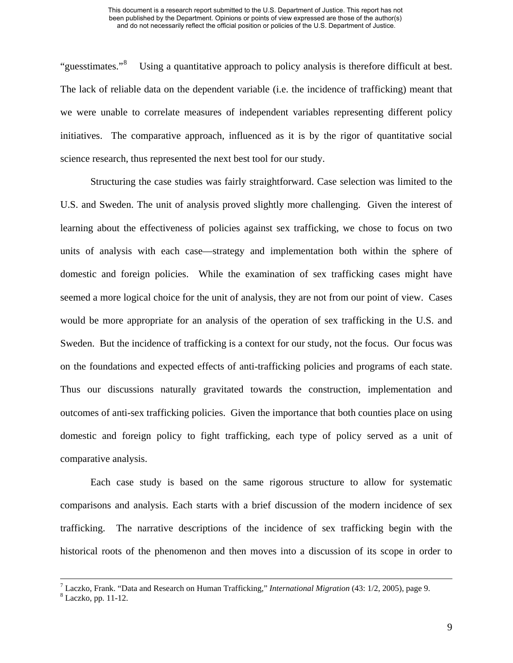"guesstimates."<sup>[8](#page-13-0)</sup> Using a quantitative approach to policy analysis is therefore difficult at best. The lack of reliable data on the dependent variable (i.e. the incidence of trafficking) meant that we were unable to correlate measures of independent variables representing different policy initiatives. The comparative approach, influenced as it is by the rigor of quantitative social science research, thus represented the next best tool for our study.

Structuring the case studies was fairly straightforward. Case selection was limited to the U.S. and Sweden. The unit of analysis proved slightly more challenging. Given the interest of learning about the effectiveness of policies against sex trafficking, we chose to focus on two units of analysis with each case—strategy and implementation both within the sphere of domestic and foreign policies. While the examination of sex trafficking cases might have seemed a more logical choice for the unit of analysis, they are not from our point of view. Cases would be more appropriate for an analysis of the operation of sex trafficking in the U.S. and Sweden. But the incidence of trafficking is a context for our study, not the focus. Our focus was on the foundations and expected effects of anti-trafficking policies and programs of each state. Thus our discussions naturally gravitated towards the construction, implementation and outcomes of anti-sex trafficking policies. Given the importance that both counties place on using domestic and foreign policy to fight trafficking, each type of policy served as a unit of comparative analysis.

 Each case study is based on the same rigorous structure to allow for systematic comparisons and analysis. Each starts with a brief discussion of the modern incidence of sex trafficking. The narrative descriptions of the incidence of sex trafficking begin with the historical roots of the phenomenon and then moves into a discussion of its scope in order to

 $^7$  Laczko, Frank. "Data and Research on Human Trafficking," *International Migration* (43: 1/2, 2005), page 9.

<span id="page-13-0"></span>Laczko, pp. 11-12.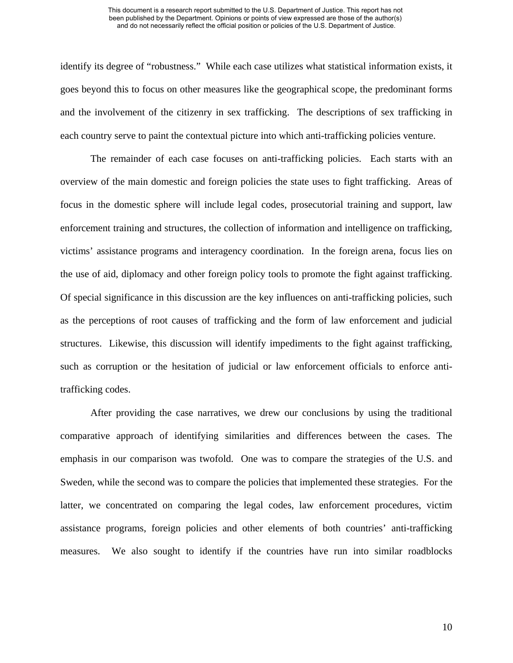identify its degree of "robustness." While each case utilizes what statistical information exists, it goes beyond this to focus on other measures like the geographical scope, the predominant forms and the involvement of the citizenry in sex trafficking. The descriptions of sex trafficking in each country serve to paint the contextual picture into which anti-trafficking policies venture.

 The remainder of each case focuses on anti-trafficking policies. Each starts with an overview of the main domestic and foreign policies the state uses to fight trafficking. Areas of focus in the domestic sphere will include legal codes, prosecutorial training and support, law enforcement training and structures, the collection of information and intelligence on trafficking, victims' assistance programs and interagency coordination. In the foreign arena, focus lies on the use of aid, diplomacy and other foreign policy tools to promote the fight against trafficking. Of special significance in this discussion are the key influences on anti-trafficking policies, such as the perceptions of root causes of trafficking and the form of law enforcement and judicial structures. Likewise, this discussion will identify impediments to the fight against trafficking, such as corruption or the hesitation of judicial or law enforcement officials to enforce antitrafficking codes.

 After providing the case narratives, we drew our conclusions by using the traditional comparative approach of identifying similarities and differences between the cases. The emphasis in our comparison was twofold. One was to compare the strategies of the U.S. and Sweden, while the second was to compare the policies that implemented these strategies. For the latter, we concentrated on comparing the legal codes, law enforcement procedures, victim assistance programs, foreign policies and other elements of both countries' anti-trafficking measures. We also sought to identify if the countries have run into similar roadblocks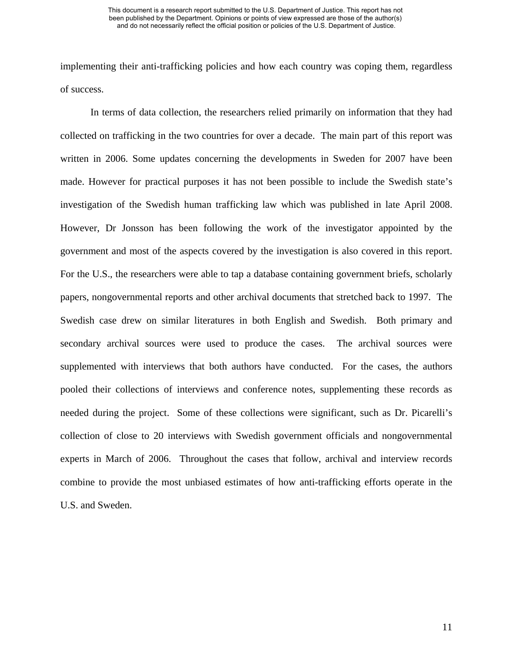implementing their anti-trafficking policies and how each country was coping them, regardless of success.

 In terms of data collection, the researchers relied primarily on information that they had collected on trafficking in the two countries for over a decade. The main part of this report was written in 2006. Some updates concerning the developments in Sweden for 2007 have been made. However for practical purposes it has not been possible to include the Swedish state's investigation of the Swedish human trafficking law which was published in late April 2008. However, Dr Jonsson has been following the work of the investigator appointed by the government and most of the aspects covered by the investigation is also covered in this report. For the U.S., the researchers were able to tap a database containing government briefs, scholarly papers, nongovernmental reports and other archival documents that stretched back to 1997. The Swedish case drew on similar literatures in both English and Swedish. Both primary and secondary archival sources were used to produce the cases. The archival sources were supplemented with interviews that both authors have conducted. For the cases, the authors pooled their collections of interviews and conference notes, supplementing these records as needed during the project. Some of these collections were significant, such as Dr. Picarelli's collection of close to 20 interviews with Swedish government officials and nongovernmental experts in March of 2006. Throughout the cases that follow, archival and interview records combine to provide the most unbiased estimates of how anti-trafficking efforts operate in the U.S. and Sweden.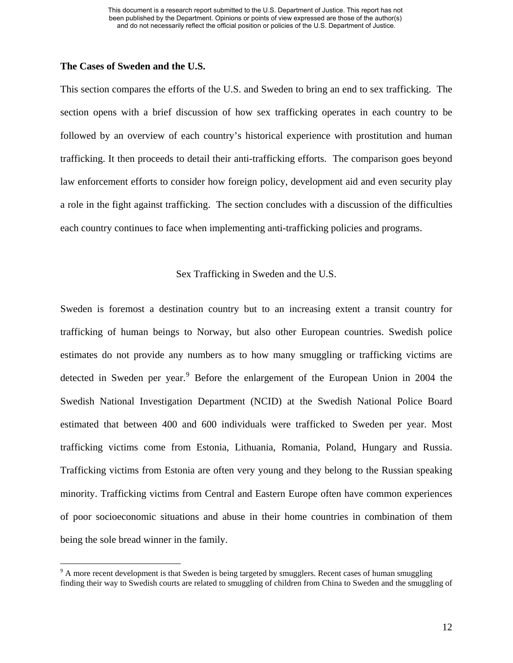## **The Cases of Sweden and the U.S.**

 $\overline{a}$ 

This section compares the efforts of the U.S. and Sweden to bring an end to sex trafficking. The section opens with a brief discussion of how sex trafficking operates in each country to be followed by an overview of each country's historical experience with prostitution and human trafficking. It then proceeds to detail their anti-trafficking efforts. The comparison goes beyond law enforcement efforts to consider how foreign policy, development aid and even security play a role in the fight against trafficking. The section concludes with a discussion of the difficulties each country continues to face when implementing anti-trafficking policies and programs.

# Sex Trafficking in Sweden and the U.S.

Sweden is foremost a destination country but to an increasing extent a transit country for trafficking of human beings to Norway, but also other European countries. Swedish police estimates do not provide any numbers as to how many smuggling or trafficking victims are detected in Sweden per year.<sup>[9](#page-16-0)</sup> Before the enlargement of the European Union in 2004 the Swedish National Investigation Department (NCID) at the Swedish National Police Board estimated that between 400 and 600 individuals were trafficked to Sweden per year. Most trafficking victims come from Estonia, Lithuania, Romania, Poland, Hungary and Russia. Trafficking victims from Estonia are often very young and they belong to the Russian speaking minority. Trafficking victims from Central and Eastern Europe often have common experiences of poor socioeconomic situations and abuse in their home countries in combination of them being the sole bread winner in the family.

<span id="page-16-0"></span> $9<sup>9</sup>$  A more recent development is that Sweden is being targeted by smugglers. Recent cases of human smuggling finding their way to Swedish courts are related to smuggling of children from China to Sweden and the smuggling of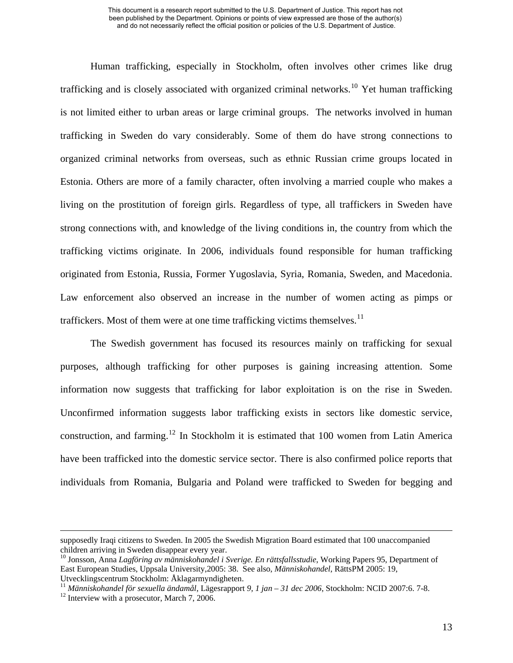Human trafficking, especially in Stockholm, often involves other crimes like drug trafficking and is closely associated with organized criminal networks.<sup>[10](#page-17-0)</sup> Yet human trafficking is not limited either to urban areas or large criminal groups. The networks involved in human trafficking in Sweden do vary considerably. Some of them do have strong connections to organized criminal networks from overseas, such as ethnic Russian crime groups located in Estonia. Others are more of a family character, often involving a married couple who makes a living on the prostitution of foreign girls. Regardless of type, all traffickers in Sweden have strong connections with, and knowledge of the living conditions in, the country from which the trafficking victims originate. In 2006, individuals found responsible for human trafficking originated from Estonia, Russia, Former Yugoslavia, Syria, Romania, Sweden, and Macedonia. Law enforcement also observed an increase in the number of women acting as pimps or traffickers. Most of them were at one time trafficking victims themselves.<sup>[11](#page-17-1)</sup>

The Swedish government has focused its resources mainly on trafficking for sexual purposes, although trafficking for other purposes is gaining increasing attention. Some information now suggests that trafficking for labor exploitation is on the rise in Sweden. Unconfirmed information suggests labor trafficking exists in sectors like domestic service, construction, and farming.<sup>[12](#page-17-2)</sup> In Stockholm it is estimated that 100 women from Latin America have been trafficked into the domestic service sector. There is also confirmed police reports that individuals from Romania, Bulgaria and Poland were trafficked to Sweden for begging and

supposedly Iraqi citizens to Sweden. In 2005 the Swedish Migration Board estimated that 100 unaccompanied children arriving in Sweden disappear every year.

<span id="page-17-0"></span><sup>10</sup> Jonsson, Anna *Lagföring av människohandel i Sverige. En rättsfallsstudie*, Working Papers 95, Department of East European Studies, Uppsala University,2005: 38. See also, *Människohandel*, RättsPM 2005: 19, Utvecklingscentrum Stockholm: Åklagarmyndigheten.

<span id="page-17-2"></span><span id="page-17-1"></span><sup>&</sup>lt;sup>11</sup> *Människohandel för sexuella ändamål*, Lägesrapport *9, 1 jan – 31 dec 2006*, Stockholm: NCID 2007:6. 7-8. <sup>12</sup> Interview with a prosecutor, March 7, 2006.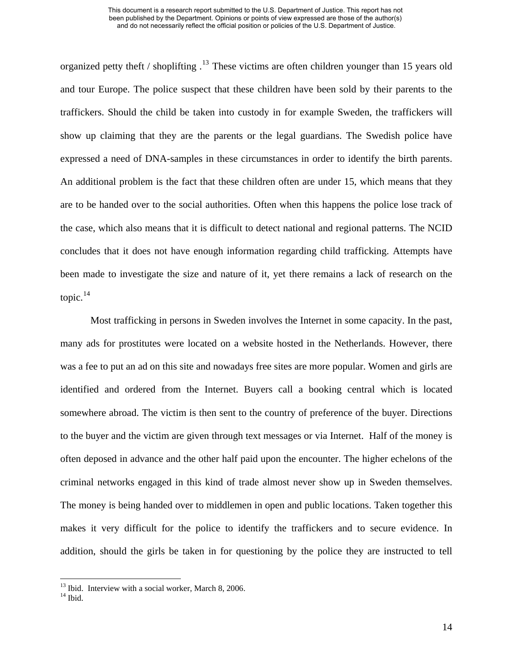organized petty theft / shoplifting  $13$  These victims are often children younger than 15 years old and tour Europe. The police suspect that these children have been sold by their parents to the traffickers. Should the child be taken into custody in for example Sweden, the traffickers will show up claiming that they are the parents or the legal guardians. The Swedish police have expressed a need of DNA-samples in these circumstances in order to identify the birth parents. An additional problem is the fact that these children often are under 15, which means that they are to be handed over to the social authorities. Often when this happens the police lose track of the case, which also means that it is difficult to detect national and regional patterns. The NCID concludes that it does not have enough information regarding child trafficking. Attempts have been made to investigate the size and nature of it, yet there remains a lack of research on the topic.[14](#page-18-1)

Most trafficking in persons in Sweden involves the Internet in some capacity. In the past, many ads for prostitutes were located on a website hosted in the Netherlands. However, there was a fee to put an ad on this site and nowadays free sites are more popular. Women and girls are identified and ordered from the Internet. Buyers call a booking central which is located somewhere abroad. The victim is then sent to the country of preference of the buyer. Directions to the buyer and the victim are given through text messages or via Internet. Half of the money is often deposed in advance and the other half paid upon the encounter. The higher echelons of the criminal networks engaged in this kind of trade almost never show up in Sweden themselves. The money is being handed over to middlemen in open and public locations. Taken together this makes it very difficult for the police to identify the traffickers and to secure evidence. In addition, should the girls be taken in for questioning by the police they are instructed to tell

<sup>&</sup>lt;sup>13</sup> Ibid. Interview with a social worker, March 8, 2006.

<span id="page-18-1"></span><span id="page-18-0"></span> $14$  Ibid.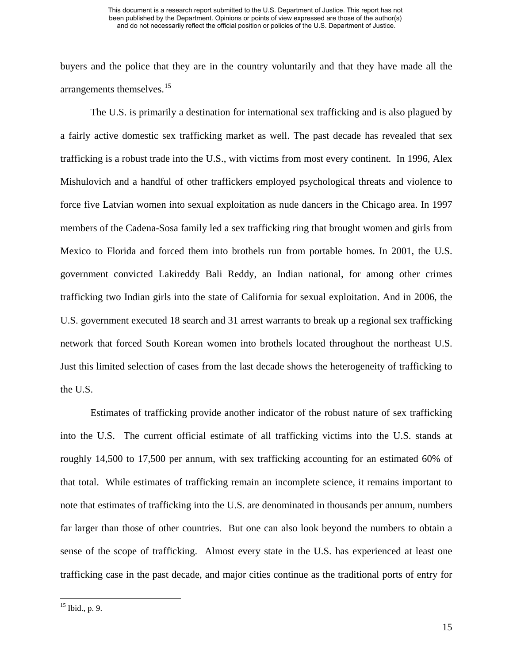buyers and the police that they are in the country voluntarily and that they have made all the arrangements themselves.<sup>[15](#page-19-0)</sup>

The U.S. is primarily a destination for international sex trafficking and is also plagued by a fairly active domestic sex trafficking market as well. The past decade has revealed that sex trafficking is a robust trade into the U.S., with victims from most every continent. In 1996, Alex Mishulovich and a handful of other traffickers employed psychological threats and violence to force five Latvian women into sexual exploitation as nude dancers in the Chicago area. In 1997 members of the Cadena-Sosa family led a sex trafficking ring that brought women and girls from Mexico to Florida and forced them into brothels run from portable homes. In 2001, the U.S. government convicted Lakireddy Bali Reddy, an Indian national, for among other crimes trafficking two Indian girls into the state of California for sexual exploitation. And in 2006, the U.S. government executed 18 search and 31 arrest warrants to break up a regional sex trafficking network that forced South Korean women into brothels located throughout the northeast U.S. Just this limited selection of cases from the last decade shows the heterogeneity of trafficking to the U.S.

Estimates of trafficking provide another indicator of the robust nature of sex trafficking into the U.S. The current official estimate of all trafficking victims into the U.S. stands at roughly 14,500 to 17,500 per annum, with sex trafficking accounting for an estimated 60% of that total. While estimates of trafficking remain an incomplete science, it remains important to note that estimates of trafficking into the U.S. are denominated in thousands per annum, numbers far larger than those of other countries. But one can also look beyond the numbers to obtain a sense of the scope of trafficking. Almost every state in the U.S. has experienced at least one trafficking case in the past decade, and major cities continue as the traditional ports of entry for

<span id="page-19-0"></span> $15$  Ibid., p. 9.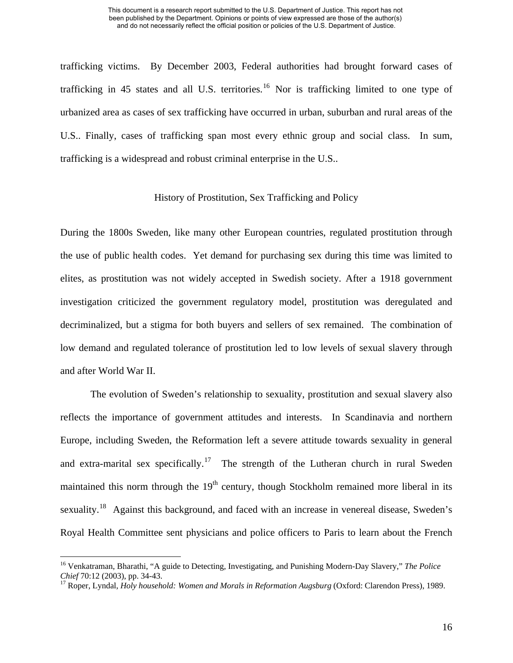trafficking victims. By December 2003, Federal authorities had brought forward cases of trafficking in 45 states and all U.S. territories.<sup>[16](#page-20-0)</sup> Nor is trafficking limited to one type of urbanized area as cases of sex trafficking have occurred in urban, suburban and rural areas of the U.S.. Finally, cases of trafficking span most every ethnic group and social class. In sum, trafficking is a widespread and robust criminal enterprise in the U.S..

# History of Prostitution, Sex Trafficking and Policy

During the 1800s Sweden, like many other European countries, regulated prostitution through the use of public health codes. Yet demand for purchasing sex during this time was limited to elites, as prostitution was not widely accepted in Swedish society. After a 1918 government investigation criticized the government regulatory model, prostitution was deregulated and decriminalized, but a stigma for both buyers and sellers of sex remained. The combination of low demand and regulated tolerance of prostitution led to low levels of sexual slavery through and after World War II.

The evolution of Sweden's relationship to sexuality, prostitution and sexual slavery also reflects the importance of government attitudes and interests. In Scandinavia and northern Europe, including Sweden, the Reformation left a severe attitude towards sexuality in general and extra-marital sex specifically.<sup>[17](#page-20-1)</sup> The strength of the Lutheran church in rural Sweden maintained this norm through the  $19<sup>th</sup>$  century, though Stockholm remained more liberal in its sexuality.<sup>[18](#page-20-1)</sup> Against this background, and faced with an increase in venereal disease, Sweden's Royal Health Committee sent physicians and police officers to Paris to learn about the French

<span id="page-20-0"></span><sup>&</sup>lt;sup>16</sup> Venkatraman, Bharathi, "A guide to Detecting, Investigating, and Punishing Modern-Day Slavery," *The Police Chief* 70:12 (2003), pp. 34-43.

<span id="page-20-1"></span><sup>&</sup>lt;sup>17</sup> Roper, Lyndal, *Holy household: Women and Morals in Reformation Augsburg* (Oxford: Clarendon Press), 1989.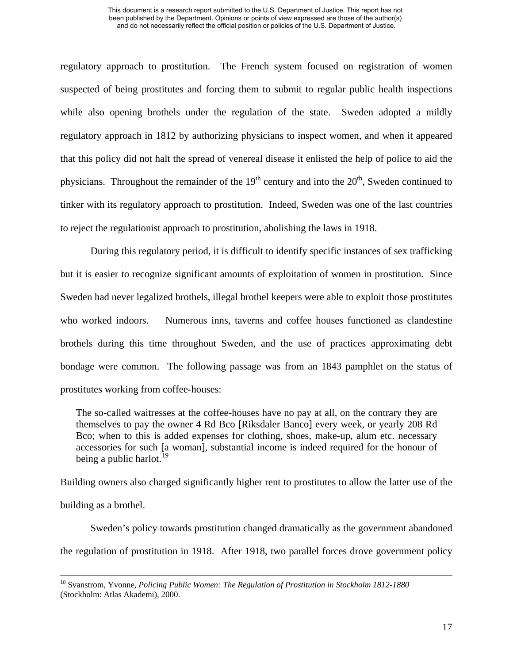regulatory approach to prostitution. The French system focused on registration of women suspected of being prostitutes and forcing them to submit to regular public health inspections while also opening brothels under the regulation of the state. Sweden adopted a mildly regulatory approach in 1812 by authorizing physicians to inspect women, and when it appeared that this policy did not halt the spread of venereal disease it enlisted the help of police to aid the physicians. Throughout the remainder of the  $19<sup>th</sup>$  century and into the  $20<sup>th</sup>$ , Sweden continued to tinker with its regulatory approach to prostitution. Indeed, Sweden was one of the last countries to reject the regulationist approach to prostitution, abolishing the laws in 1918.

During this regulatory period, it is difficult to identify specific instances of sex trafficking but it is easier to recognize significant amounts of exploitation of women in prostitution. Since Sweden had never legalized brothels, illegal brothel keepers were able to exploit those prostitutes who worked indoors. Numerous inns, taverns and coffee houses functioned as clandestine brothels during this time throughout Sweden, and the use of practices approximating debt bondage were common. The following passage was from an 1843 pamphlet on the status of prostitutes working from coffee-houses:

The so-called waitresses at the coffee-houses have no pay at all, on the contrary they are themselves to pay the owner 4 Rd Bco [Riksdaler Banco] every week, or yearly 208 Rd Bco; when to this is added expenses for clothing, shoes, make-up, alum etc. necessary accessories for such [a woman], substantial income is indeed required for the honour of being a public harlot.<sup>[19](#page-21-0)</sup>

Building owners also charged significantly higher rent to prostitutes to allow the latter use of the building as a brothel.

Sweden's policy towards prostitution changed dramatically as the government abandoned the regulation of prostitution in 1918. After 1918, two parallel forces drove government policy

<span id="page-21-0"></span> <sup>18</sup> Svanstrom, Yvonne, *Policing Public Women: The Regulation of Prostitution in Stockholm 1812-1880* (Stockholm: Atlas Akademi), 2000.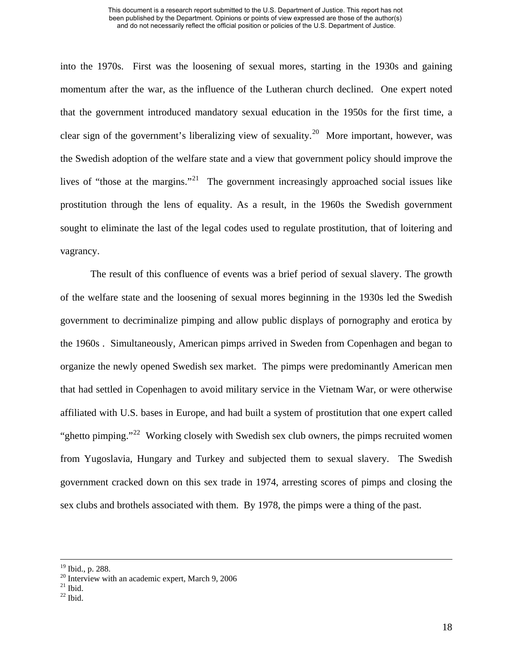into the 1970s. First was the loosening of sexual mores, starting in the 1930s and gaining momentum after the war, as the influence of the Lutheran church declined. One expert noted that the government introduced mandatory sexual education in the 1950s for the first time, a clear sign of the government's liberalizing view of sexuality.<sup>[20](#page-22-0)</sup> More important, however, was the Swedish adoption of the welfare state and a view that government policy should improve the lives of "those at the margins."[21](#page-22-1) The government increasingly approached social issues like prostitution through the lens of equality. As a result, in the 1960s the Swedish government sought to eliminate the last of the legal codes used to regulate prostitution, that of loitering and vagrancy.

The result of this confluence of events was a brief period of sexual slavery. The growth of the welfare state and the loosening of sexual mores beginning in the 1930s led the Swedish government to decriminalize pimping and allow public displays of pornography and erotica by the 1960s . Simultaneously, American pimps arrived in Sweden from Copenhagen and began to organize the newly opened Swedish sex market. The pimps were predominantly American men that had settled in Copenhagen to avoid military service in the Vietnam War, or were otherwise affiliated with U.S. bases in Europe, and had built a system of prostitution that one expert called "ghetto pimping."<sup>[22](#page-22-2)</sup> Working closely with Swedish sex club owners, the pimps recruited women from Yugoslavia, Hungary and Turkey and subjected them to sexual slavery. The Swedish government cracked down on this sex trade in 1974, arresting scores of pimps and closing the sex clubs and brothels associated with them. By 1978, the pimps were a thing of the past.

 <sup>19</sup> Ibid., p. 288.

<span id="page-22-0"></span><sup>&</sup>lt;sup>20</sup> Interview with an academic expert, March 9, 2006

<span id="page-22-1"></span> $21$  Ibid.

<span id="page-22-2"></span> $22$  Ibid.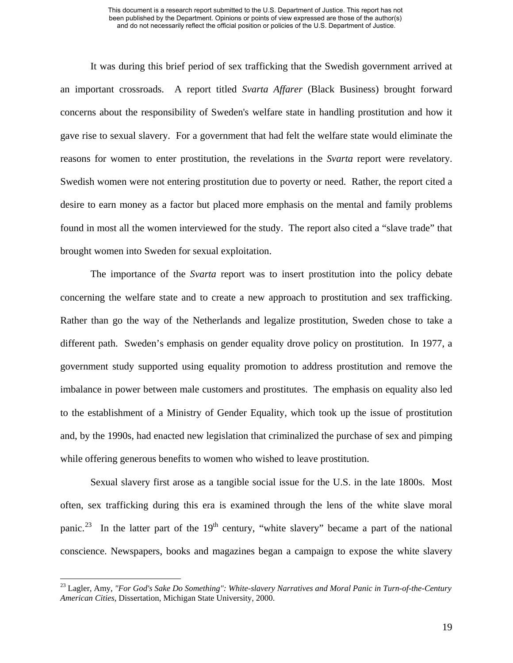It was during this brief period of sex trafficking that the Swedish government arrived at an important crossroads. A report titled *Svarta Affarer* (Black Business) brought forward concerns about the responsibility of Sweden's welfare state in handling prostitution and how it gave rise to sexual slavery. For a government that had felt the welfare state would eliminate the reasons for women to enter prostitution, the revelations in the *Svarta* report were revelatory. Swedish women were not entering prostitution due to poverty or need. Rather, the report cited a desire to earn money as a factor but placed more emphasis on the mental and family problems found in most all the women interviewed for the study. The report also cited a "slave trade" that brought women into Sweden for sexual exploitation.

The importance of the *Svarta* report was to insert prostitution into the policy debate concerning the welfare state and to create a new approach to prostitution and sex trafficking. Rather than go the way of the Netherlands and legalize prostitution, Sweden chose to take a different path. Sweden's emphasis on gender equality drove policy on prostitution. In 1977, a government study supported using equality promotion to address prostitution and remove the imbalance in power between male customers and prostitutes. The emphasis on equality also led to the establishment of a Ministry of Gender Equality, which took up the issue of prostitution and, by the 1990s, had enacted new legislation that criminalized the purchase of sex and pimping while offering generous benefits to women who wished to leave prostitution.

Sexual slavery first arose as a tangible social issue for the U.S. in the late 1800s. Most often, sex trafficking during this era is examined through the lens of the white slave moral panic.<sup>[23](#page-23-0)</sup> In the latter part of the 19<sup>th</sup> century, "white slavery" became a part of the national conscience. Newspapers, books and magazines began a campaign to expose the white slavery

<span id="page-23-0"></span><sup>23</sup> Lagler, Amy, *"For God's Sake Do Something": White-slavery Narratives and Moral Panic in Turn-of-the-Century American Cities*, Dissertation, Michigan State University, 2000.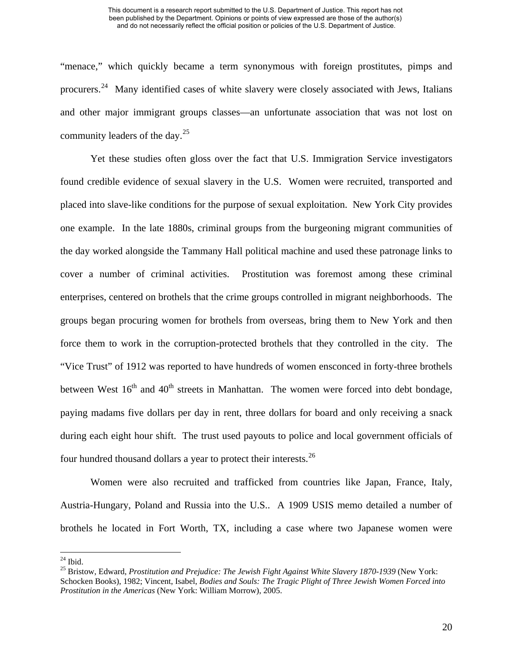"menace," which quickly became a term synonymous with foreign prostitutes, pimps and procurers.<sup>[24](#page-24-0)</sup> Many identified cases of white slavery were closely associated with Jews, Italians and other major immigrant groups classes—an unfortunate association that was not lost on community leaders of the day. $25$ 

Yet these studies often gloss over the fact that U.S. Immigration Service investigators found credible evidence of sexual slavery in the U.S. Women were recruited, transported and placed into slave-like conditions for the purpose of sexual exploitation. New York City provides one example. In the late 1880s, criminal groups from the burgeoning migrant communities of the day worked alongside the Tammany Hall political machine and used these patronage links to cover a number of criminal activities. Prostitution was foremost among these criminal enterprises, centered on brothels that the crime groups controlled in migrant neighborhoods. The groups began procuring women for brothels from overseas, bring them to New York and then force them to work in the corruption-protected brothels that they controlled in the city. The "Vice Trust" of 1912 was reported to have hundreds of women ensconced in forty-three brothels between West  $16<sup>th</sup>$  and  $40<sup>th</sup>$  streets in Manhattan. The women were forced into debt bondage, paying madams five dollars per day in rent, three dollars for board and only receiving a snack during each eight hour shift. The trust used payouts to police and local government officials of four hundred thousand dollars a year to protect their interests.<sup>[26](#page-24-2)</sup>

Women were also recruited and trafficked from countries like Japan, France, Italy, Austria-Hungary, Poland and Russia into the U.S.. A 1909 USIS memo detailed a number of brothels he located in Fort Worth, TX, including a case where two Japanese women were

<span id="page-24-0"></span> $24$  Ibid.

<span id="page-24-2"></span><span id="page-24-1"></span><sup>25</sup> Bristow, Edward, *Prostitution and Prejudice: The Jewish Fight Against White Slavery 1870-1939* (New York: Schocken Books), 1982; Vincent, Isabel, *Bodies and Souls: The Tragic Plight of Three Jewish Women Forced into Prostitution in the Americas* (New York: William Morrow), 2005.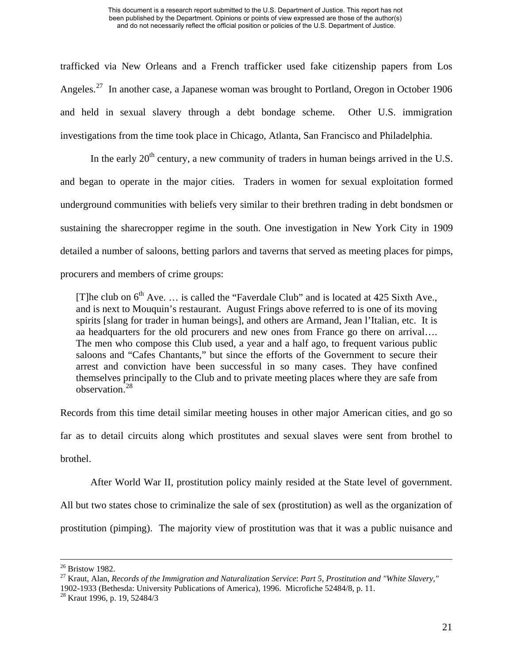trafficked via New Orleans and a French trafficker used fake citizenship papers from Los Angeles.<sup>[27](#page-25-0)</sup> In another case, a Japanese woman was brought to Portland, Oregon in October 1906 and held in sexual slavery through a debt bondage scheme. Other U.S. immigration investigations from the time took place in Chicago, Atlanta, San Francisco and Philadelphia.

In the early  $20<sup>th</sup>$  century, a new community of traders in human beings arrived in the U.S. and began to operate in the major cities. Traders in women for sexual exploitation formed underground communities with beliefs very similar to their brethren trading in debt bondsmen or sustaining the sharecropper regime in the south. One investigation in New York City in 1909 detailed a number of saloons, betting parlors and taverns that served as meeting places for pimps, procurers and members of crime groups:

[T]he club on  $6<sup>th</sup>$  Ave. ... is called the "Faverdale Club" and is located at 425 Sixth Ave., and is next to Mouquin's restaurant. August Frings above referred to is one of its moving spirits [slang for trader in human beings], and others are Armand, Jean l'Italian, etc. It is aa headquarters for the old procurers and new ones from France go there on arrival…. The men who compose this Club used, a year and a half ago, to frequent various public saloons and "Cafes Chantants," but since the efforts of the Government to secure their arrest and conviction have been successful in so many cases. They have confined themselves principally to the Club and to private meeting places where they are safe from observation<sup>[28](#page-25-1)</sup>

Records from this time detail similar meeting houses in other major American cities, and go so far as to detail circuits along which prostitutes and sexual slaves were sent from brothel to brothel.

After World War II, prostitution policy mainly resided at the State level of government.

All but two states chose to criminalize the sale of sex (prostitution) as well as the organization of

prostitution (pimping). The majority view of prostitution was that it was a public nuisance and

 $26$  Bristow 1982.

<span id="page-25-0"></span><sup>27</sup> Kraut, Alan, *Records of the Immigration and Naturalization Service*: *Part 5, Prostitution and "White Slavery,"*  1902-1933 (Bethesda: University Publications of America), 1996. Microfiche 52484/8, p. 11.

<span id="page-25-1"></span><sup>28</sup> Kraut 1996, p. 19, 52484/3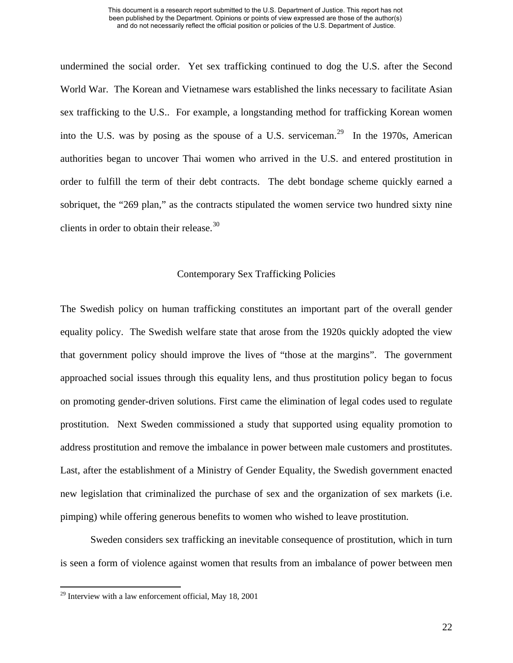undermined the social order. Yet sex trafficking continued to dog the U.S. after the Second World War. The Korean and Vietnamese wars established the links necessary to facilitate Asian sex trafficking to the U.S.. For example, a longstanding method for trafficking Korean women into the U.S. was by posing as the spouse of a U.S. serviceman.<sup>[29](#page-26-0)</sup> In the 1970s, American authorities began to uncover Thai women who arrived in the U.S. and entered prostitution in order to fulfill the term of their debt contracts. The debt bondage scheme quickly earned a sobriquet, the "269 plan," as the contracts stipulated the women service two hundred sixty nine clients in order to obtain their release.<sup>[30](#page-26-1)</sup>

# Contemporary Sex Trafficking Policies

The Swedish policy on human trafficking constitutes an important part of the overall gender equality policy. The Swedish welfare state that arose from the 1920s quickly adopted the view that government policy should improve the lives of "those at the margins". The government approached social issues through this equality lens, and thus prostitution policy began to focus on promoting gender-driven solutions. First came the elimination of legal codes used to regulate prostitution. Next Sweden commissioned a study that supported using equality promotion to address prostitution and remove the imbalance in power between male customers and prostitutes. Last, after the establishment of a Ministry of Gender Equality, the Swedish government enacted new legislation that criminalized the purchase of sex and the organization of sex markets (i.e. pimping) while offering generous benefits to women who wished to leave prostitution.

<span id="page-26-1"></span>Sweden considers sex trafficking an inevitable consequence of prostitution, which in turn is seen a form of violence against women that results from an imbalance of power between men

<span id="page-26-0"></span> $29$  Interview with a law enforcement official, May 18, 2001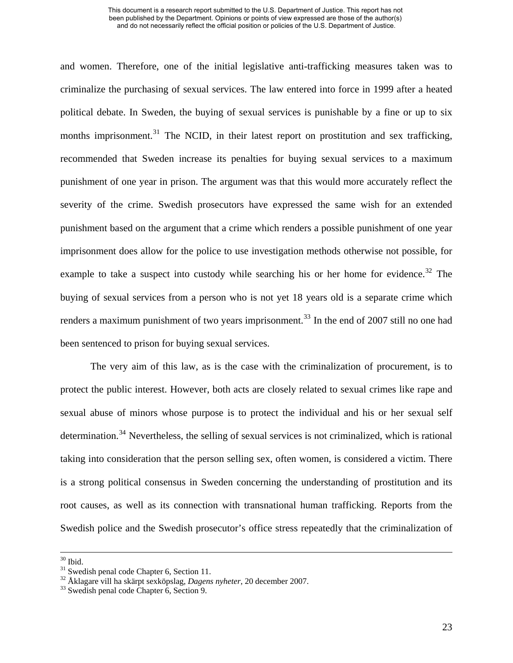and women. Therefore, one of the initial legislative anti-trafficking measures taken was to criminalize the purchasing of sexual services. The law entered into force in 1999 after a heated political debate. In Sweden, the buying of sexual services is punishable by a fine or up to six months imprisonment.<sup>[31](#page-27-0)</sup> The NCID, in their latest report on prostitution and sex trafficking, recommended that Sweden increase its penalties for buying sexual services to a maximum punishment of one year in prison. The argument was that this would more accurately reflect the severity of the crime. Swedish prosecutors have expressed the same wish for an extended punishment based on the argument that a crime which renders a possible punishment of one year imprisonment does allow for the police to use investigation methods otherwise not possible, for example to take a suspect into custody while searching his or her home for evidence.<sup>[32](#page-27-1)</sup> The buying of sexual services from a person who is not yet 18 years old is a separate crime which renders a maximum punishment of two years imprisonment.<sup>[33](#page-27-2)</sup> In the end of 2007 still no one had been sentenced to prison for buying sexual services.

The very aim of this law, as is the case with the criminalization of procurement, is to protect the public interest. However, both acts are closely related to sexual crimes like rape and sexual abuse of minors whose purpose is to protect the individual and his or her sexual self determination.<sup>[34](#page-27-3)</sup> Nevertheless, the selling of sexual services is not criminalized, which is rational taking into consideration that the person selling sex, often women, is considered a victim. There is a strong political consensus in Sweden concerning the understanding of prostitution and its root causes, as well as its connection with transnational human trafficking. Reports from the Swedish police and the Swedish prosecutor's office stress repeatedly that the criminalization of

 $30$  Ibid.

<span id="page-27-0"></span> $31$  Swedish penal code Chapter 6, Section 11.

<span id="page-27-3"></span><span id="page-27-2"></span><span id="page-27-1"></span><sup>&</sup>lt;sup>32</sup> Åklagare vill ha skärpt sexköpslag, *Dagens nyheter*, 20 december 2007.<br><sup>33</sup> Swedish penal code Chapter 6, Section 9.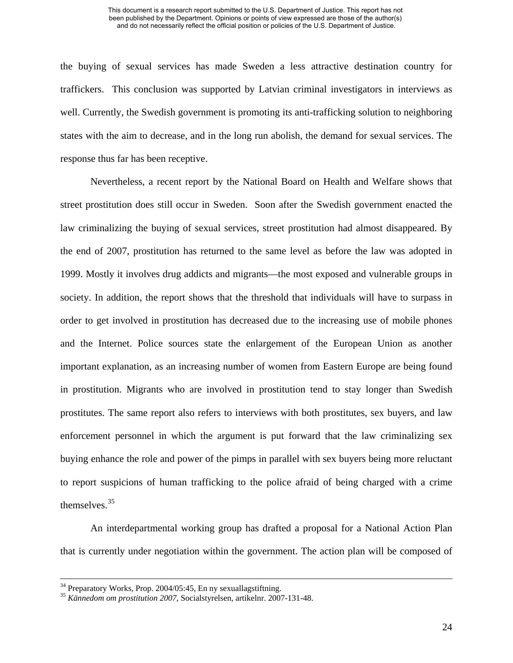the buying of sexual services has made Sweden a less attractive destination country for traffickers. This conclusion was supported by Latvian criminal investigators in interviews as well. Currently, the Swedish government is promoting its anti-trafficking solution to neighboring states with the aim to decrease, and in the long run abolish, the demand for sexual services. The response thus far has been receptive.

Nevertheless, a recent report by the National Board on Health and Welfare shows that street prostitution does still occur in Sweden. Soon after the Swedish government enacted the law criminalizing the buying of sexual services, street prostitution had almost disappeared. By the end of 2007, prostitution has returned to the same level as before the law was adopted in 1999. Mostly it involves drug addicts and migrants—the most exposed and vulnerable groups in society. In addition, the report shows that the threshold that individuals will have to surpass in order to get involved in prostitution has decreased due to the increasing use of mobile phones and the Internet. Police sources state the enlargement of the European Union as another important explanation, as an increasing number of women from Eastern Europe are being found in prostitution. Migrants who are involved in prostitution tend to stay longer than Swedish prostitutes. The same report also refers to interviews with both prostitutes, sex buyers, and law enforcement personnel in which the argument is put forward that the law criminalizing sex buying enhance the role and power of the pimps in parallel with sex buyers being more reluctant to report suspicions of human trafficking to the police afraid of being charged with a crime themselves.[35](#page-28-0)

An interdepartmental working group has drafted a proposal for a National Action Plan that is currently under negotiation within the government. The action plan will be composed of

<sup>&</sup>lt;sup>34</sup> Preparatory Works, Prop. 2004/05:45, En ny sexuallagstiftning.

<span id="page-28-0"></span><sup>35</sup> *Kännedom om prostitution 2007*, Socialstyrelsen, artikelnr. 2007-131-48.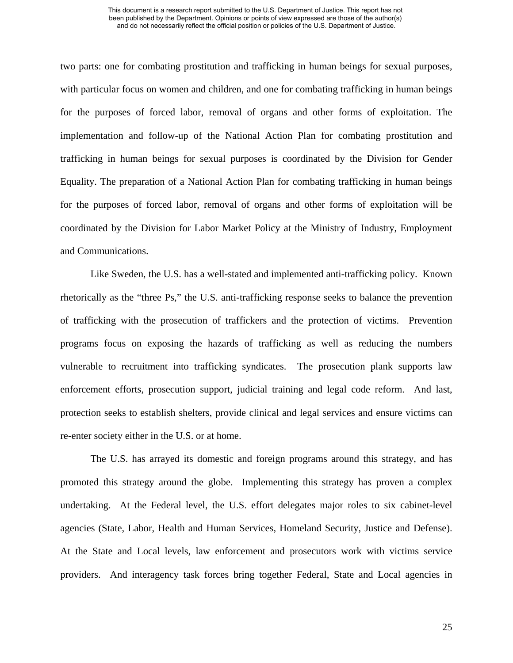two parts: one for combating prostitution and trafficking in human beings for sexual purposes, with particular focus on women and children, and one for combating trafficking in human beings for the purposes of forced labor, removal of organs and other forms of exploitation. The implementation and follow-up of the National Action Plan for combating prostitution and trafficking in human beings for sexual purposes is coordinated by the Division for Gender Equality. The preparation of a National Action Plan for combating trafficking in human beings for the purposes of forced labor, removal of organs and other forms of exploitation will be coordinated by the Division for Labor Market Policy at the Ministry of Industry, Employment and Communications.

Like Sweden, the U.S. has a well-stated and implemented anti-trafficking policy. Known rhetorically as the "three Ps," the U.S. anti-trafficking response seeks to balance the prevention of trafficking with the prosecution of traffickers and the protection of victims. Prevention programs focus on exposing the hazards of trafficking as well as reducing the numbers vulnerable to recruitment into trafficking syndicates. The prosecution plank supports law enforcement efforts, prosecution support, judicial training and legal code reform. And last, protection seeks to establish shelters, provide clinical and legal services and ensure victims can re-enter society either in the U.S. or at home.

The U.S. has arrayed its domestic and foreign programs around this strategy, and has promoted this strategy around the globe. Implementing this strategy has proven a complex undertaking. At the Federal level, the U.S. effort delegates major roles to six cabinet-level agencies (State, Labor, Health and Human Services, Homeland Security, Justice and Defense). At the State and Local levels, law enforcement and prosecutors work with victims service providers. And interagency task forces bring together Federal, State and Local agencies in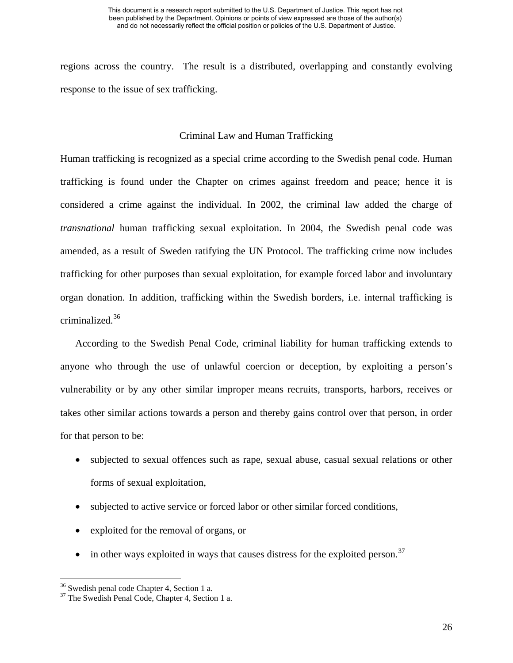regions across the country. The result is a distributed, overlapping and constantly evolving response to the issue of sex trafficking.

# Criminal Law and Human Trafficking

Human trafficking is recognized as a special crime according to the Swedish penal code. Human trafficking is found under the Chapter on crimes against freedom and peace; hence it is considered a crime against the individual. In 2002, the criminal law added the charge of *transnational* human trafficking sexual exploitation. In 2004, the Swedish penal code was amended, as a result of Sweden ratifying the UN Protocol. The trafficking crime now includes trafficking for other purposes than sexual exploitation, for example forced labor and involuntary organ donation. In addition, trafficking within the Swedish borders, i.e. internal trafficking is criminalized.[36](#page-30-0)

According to the Swedish Penal Code, criminal liability for human trafficking extends to anyone who through the use of unlawful coercion or deception, by exploiting a person's vulnerability or by any other similar improper means recruits, transports, harbors, receives or takes other similar actions towards a person and thereby gains control over that person, in order for that person to be:

- subjected to sexual offences such as rape, sexual abuse, casual sexual relations or other forms of sexual exploitation,
- subjected to active service or forced labor or other similar forced conditions,
- exploited for the removal of organs, or
- in other ways exploited in ways that causes distress for the exploited person.<sup>[37](#page-30-1)</sup>

<span id="page-30-0"></span><sup>&</sup>lt;sup>36</sup> Swedish penal code Chapter 4, Section 1 a.

<span id="page-30-1"></span><sup>&</sup>lt;sup>37</sup> The Swedish Penal Code, Chapter 4, Section 1 a.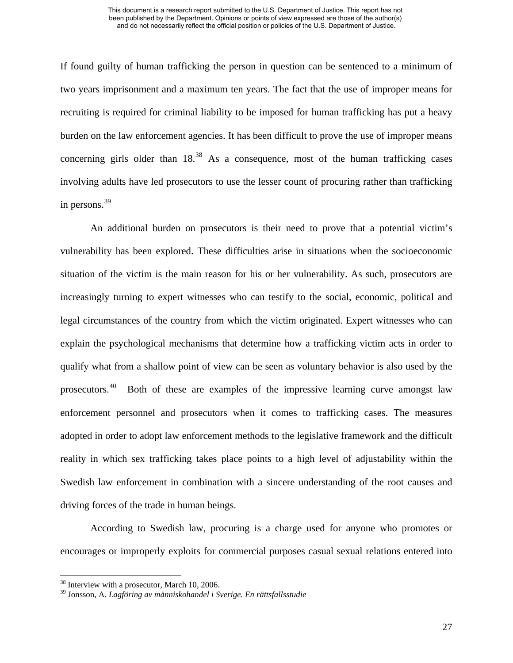If found guilty of human trafficking the person in question can be sentenced to a minimum of two years imprisonment and a maximum ten years. The fact that the use of improper means for recruiting is required for criminal liability to be imposed for human trafficking has put a heavy burden on the law enforcement agencies. It has been difficult to prove the use of improper means concerning girls older than  $18^{38}$  $18^{38}$  $18^{38}$ . As a consequence, most of the human trafficking cases involving adults have led prosecutors to use the lesser count of procuring rather than trafficking in persons.<sup>[39](#page-31-1)</sup>

An additional burden on prosecutors is their need to prove that a potential victim's vulnerability has been explored. These difficulties arise in situations when the socioeconomic situation of the victim is the main reason for his or her vulnerability. As such, prosecutors are increasingly turning to expert witnesses who can testify to the social, economic, political and legal circumstances of the country from which the victim originated. Expert witnesses who can explain the psychological mechanisms that determine how a trafficking victim acts in order to qualify what from a shallow point of view can be seen as voluntary behavior is also used by the prosecutors.[40](#page-31-2) Both of these are examples of the impressive learning curve amongst law enforcement personnel and prosecutors when it comes to trafficking cases. The measures adopted in order to adopt law enforcement methods to the legislative framework and the difficult reality in which sex trafficking takes place points to a high level of adjustability within the Swedish law enforcement in combination with a sincere understanding of the root causes and driving forces of the trade in human beings.

According to Swedish law, procuring is a charge used for anyone who promotes or encourages or improperly exploits for commercial purposes casual sexual relations entered into

<span id="page-31-2"></span><span id="page-31-0"></span><sup>&</sup>lt;sup>38</sup> Interview with a prosecutor, March 10, 2006.

<span id="page-31-1"></span><sup>39</sup> Jonsson, A. *Lagföring av människohandel i Sverige. En rättsfallsstudie*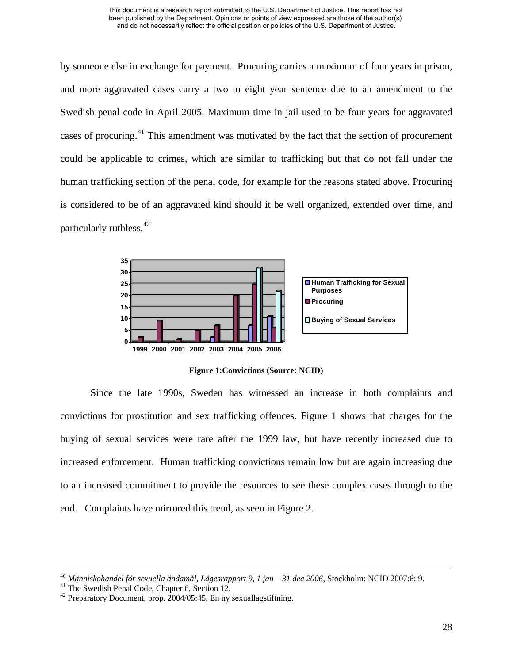by someone else in exchange for payment. Procuring carries a maximum of four years in prison, and more aggravated cases carry a two to eight year sentence due to an amendment to the Swedish penal code in April 2005. Maximum time in jail used to be four years for aggravated cases of procuring.<sup>[41](#page-32-0)</sup> This amendment was motivated by the fact that the section of procurement could be applicable to crimes, which are similar to trafficking but that do not fall under the human trafficking section of the penal code, for example for the reasons stated above. Procuring is considered to be of an aggravated kind should it be well organized, extended over time, and particularly ruthless.  $42$ 



**Figure 1:Convictions (Source: NCID)** 

Since the late 1990s, Sweden has witnessed an increase in both complaints and convictions for prostitution and sex trafficking offences. Figure 1 shows that charges for the buying of sexual services were rare after the 1999 law, but have recently increased due to increased enforcement. Human trafficking convictions remain low but are again increasing due to an increased commitment to provide the resources to see these complex cases through to the end. Complaints have mirrored this trend, as seen in Figure 2.

<span id="page-32-0"></span><sup>40</sup> *Människohandel för sexuella ändamål, Lägesrapport 9, 1 jan – 31 dec 2006*, Stockholm: NCID 2007:6: 9. 41 The Swedish Penal Code, Chapter 6, Section 12.

<span id="page-32-1"></span> $42$  Preparatory Document, prop. 2004/05:45, En ny sexuallagstiftning.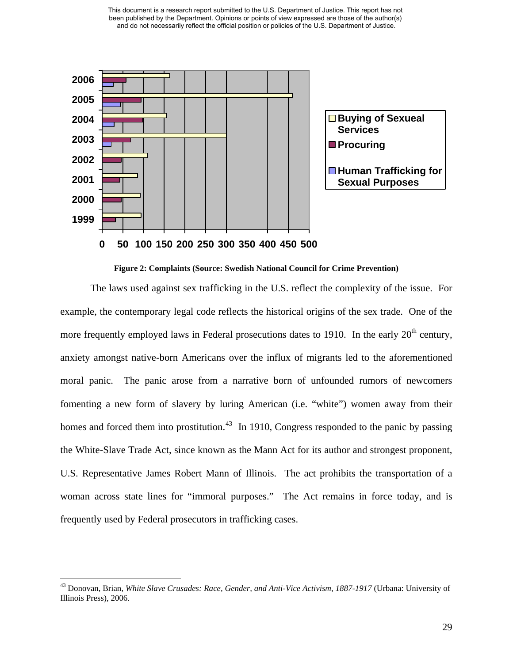

**Figure 2: Complaints (Source: Swedish National Council for Crime Prevention)** 

The laws used against sex trafficking in the U.S. reflect the complexity of the issue. For example, the contemporary legal code reflects the historical origins of the sex trade. One of the more frequently employed laws in Federal prosecutions dates to 1910. In the early  $20<sup>th</sup>$  century, anxiety amongst native-born Americans over the influx of migrants led to the aforementioned moral panic. The panic arose from a narrative born of unfounded rumors of newcomers fomenting a new form of slavery by luring American (i.e. "white") women away from their homes and forced them into prostitution.<sup>[43](#page-33-0)</sup> In 1910, Congress responded to the panic by passing the White-Slave Trade Act, since known as the Mann Act for its author and strongest proponent, U.S. Representative James Robert Mann of Illinois. The act prohibits the transportation of a woman across state lines for "immoral purposes." The Act remains in force today, and is frequently used by Federal prosecutors in trafficking cases.

<span id="page-33-0"></span><sup>43</sup> Donovan, Brian, *White Slave Crusades: Race, Gender, and Anti-Vice Activism, 1887-1917* (Urbana: University of Illinois Press), 2006.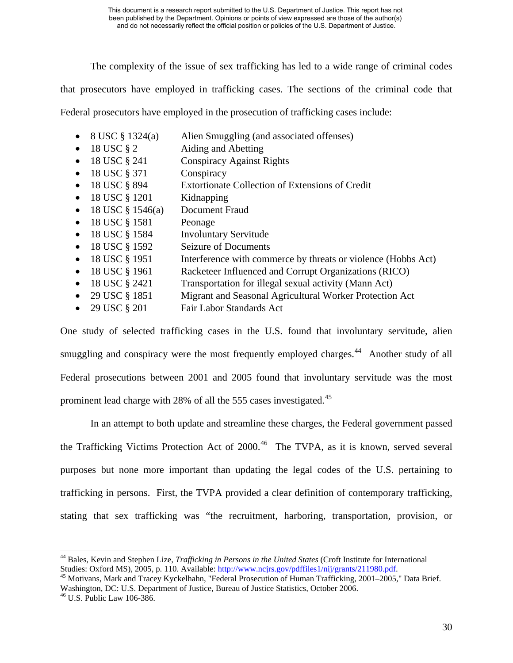The complexity of the issue of sex trafficking has led to a wide range of criminal codes

that prosecutors have employed in trafficking cases. The sections of the criminal code that

Federal prosecutors have employed in the prosecution of trafficking cases include:

- 8 USC § 1324(a) Alien Smuggling (and associated offenses)
- 18 USC § 2 Aiding and Abetting
- 18 USC § 241 Conspiracy Against Rights
- 18 USC § 371 Conspiracy
- 18 USC § 894 Extortionate Collection of Extensions of Credit
- 18 USC § 1201 Kidnapping
- 18 USC § 1546(a) Document Fraud
- $18$  USC  $\S$  1581 Peonage
- 18 USC § 1584 Involuntary Servitude
- 18 USC § 1592 Seizure of Documents
- 18 USC § 1951 Interference with commerce by threats or violence (Hobbs Act)
- 18 USC § 1961 Racketeer Influenced and Corrupt Organizations (RICO)
- 18 USC § 2421 Transportation for illegal sexual activity (Mann Act)
- 29 USC § 1851 Migrant and Seasonal Agricultural Worker Protection Act
- 29 USC § 201 Fair Labor Standards Act

One study of selected trafficking cases in the U.S. found that involuntary servitude, alien smuggling and conspiracy were the most frequently employed charges.<sup>[44](#page-34-0)</sup> Another study of all Federal prosecutions between 2001 and 2005 found that involuntary servitude was the most prominent lead charge with 28% of all the 555 cases investigated.<sup>[45](#page-34-1)</sup>

 In an attempt to both update and streamline these charges, the Federal government passed the Trafficking Victims Protection Act of  $2000<sup>46</sup>$  $2000<sup>46</sup>$  $2000<sup>46</sup>$  The TVPA, as it is known, served several purposes but none more important than updating the legal codes of the U.S. pertaining to trafficking in persons. First, the TVPA provided a clear definition of contemporary trafficking, stating that sex trafficking was "the recruitment, harboring, transportation, provision, or

<span id="page-34-0"></span><sup>44</sup> Bales, Kevin and Stephen Lize, *Trafficking in Persons in the United States* (Croft Institute for International Studies: Oxford MS), 2005, p. 110. Available: [http://www.ncjrs.gov/pdffiles1/nij/grants/211980.pdf.](http://www.ncjrs.gov/pdffiles1/nij/grants/211980.pdf)<br><sup>45</sup> Motivans, Mark and Tracey Kyckelhahn, "Federal Prosecution of Human Trafficking, 2001–2005," Data Brief.

<span id="page-34-1"></span>Washington, DC: U.S. Department of Justice, Bureau of Justice Statistics, October 2006. 46 U.S. Public Law 106-386.

<span id="page-34-2"></span>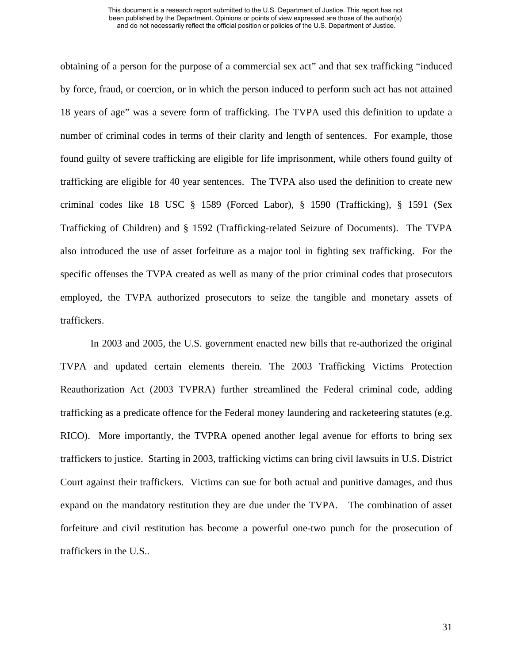obtaining of a person for the purpose of a commercial sex act" and that sex trafficking "induced by force, fraud, or coercion, or in which the person induced to perform such act has not attained 18 years of age" was a severe form of trafficking. The TVPA used this definition to update a number of criminal codes in terms of their clarity and length of sentences. For example, those found guilty of severe trafficking are eligible for life imprisonment, while others found guilty of trafficking are eligible for 40 year sentences. The TVPA also used the definition to create new criminal codes like 18 USC § 1589 (Forced Labor), § 1590 (Trafficking), § 1591 (Sex Trafficking of Children) and § 1592 (Trafficking-related Seizure of Documents). The TVPA also introduced the use of asset forfeiture as a major tool in fighting sex trafficking. For the specific offenses the TVPA created as well as many of the prior criminal codes that prosecutors employed, the TVPA authorized prosecutors to seize the tangible and monetary assets of traffickers.

In 2003 and 2005, the U.S. government enacted new bills that re-authorized the original TVPA and updated certain elements therein. The 2003 Trafficking Victims Protection Reauthorization Act (2003 TVPRA) further streamlined the Federal criminal code, adding trafficking as a predicate offence for the Federal money laundering and racketeering statutes (e.g. RICO). More importantly, the TVPRA opened another legal avenue for efforts to bring sex traffickers to justice. Starting in 2003, trafficking victims can bring civil lawsuits in U.S. District Court against their traffickers. Victims can sue for both actual and punitive damages, and thus expand on the mandatory restitution they are due under the TVPA. The combination of asset forfeiture and civil restitution has become a powerful one-two punch for the prosecution of traffickers in the U.S..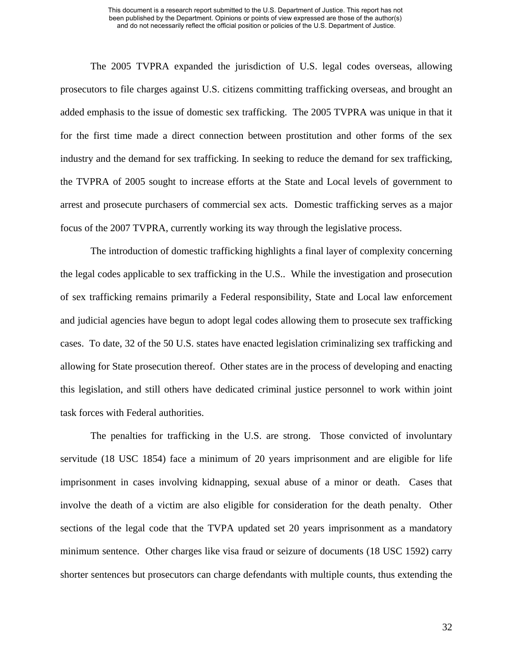The 2005 TVPRA expanded the jurisdiction of U.S. legal codes overseas, allowing prosecutors to file charges against U.S. citizens committing trafficking overseas, and brought an added emphasis to the issue of domestic sex trafficking. The 2005 TVPRA was unique in that it for the first time made a direct connection between prostitution and other forms of the sex industry and the demand for sex trafficking. In seeking to reduce the demand for sex trafficking, the TVPRA of 2005 sought to increase efforts at the State and Local levels of government to arrest and prosecute purchasers of commercial sex acts. Domestic trafficking serves as a major focus of the 2007 TVPRA, currently working its way through the legislative process.

The introduction of domestic trafficking highlights a final layer of complexity concerning the legal codes applicable to sex trafficking in the U.S.. While the investigation and prosecution of sex trafficking remains primarily a Federal responsibility, State and Local law enforcement and judicial agencies have begun to adopt legal codes allowing them to prosecute sex trafficking cases. To date, 32 of the 50 U.S. states have enacted legislation criminalizing sex trafficking and allowing for State prosecution thereof. Other states are in the process of developing and enacting this legislation, and still others have dedicated criminal justice personnel to work within joint task forces with Federal authorities.

The penalties for trafficking in the U.S. are strong. Those convicted of involuntary servitude (18 USC 1854) face a minimum of 20 years imprisonment and are eligible for life imprisonment in cases involving kidnapping, sexual abuse of a minor or death. Cases that involve the death of a victim are also eligible for consideration for the death penalty. Other sections of the legal code that the TVPA updated set 20 years imprisonment as a mandatory minimum sentence. Other charges like visa fraud or seizure of documents (18 USC 1592) carry shorter sentences but prosecutors can charge defendants with multiple counts, thus extending the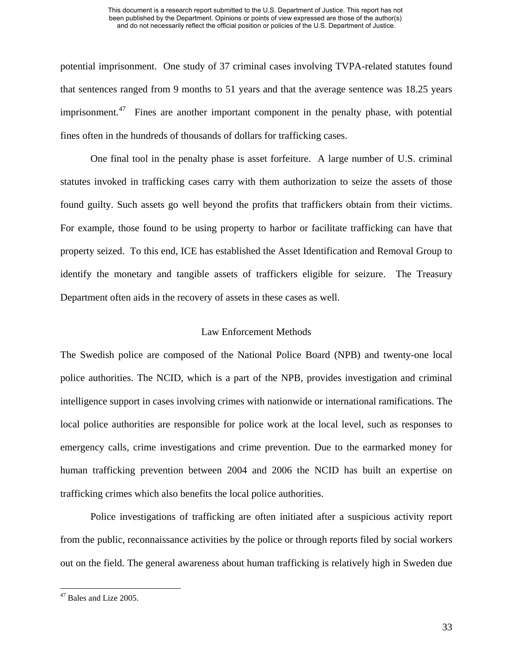potential imprisonment. One study of 37 criminal cases involving TVPA-related statutes found that sentences ranged from 9 months to 51 years and that the average sentence was 18.25 years imprisonment.<sup>[47](#page-37-0)</sup> Fines are another important component in the penalty phase, with potential fines often in the hundreds of thousands of dollars for trafficking cases.

One final tool in the penalty phase is asset forfeiture. A large number of U.S. criminal statutes invoked in trafficking cases carry with them authorization to seize the assets of those found guilty. Such assets go well beyond the profits that traffickers obtain from their victims. For example, those found to be using property to harbor or facilitate trafficking can have that property seized. To this end, ICE has established the Asset Identification and Removal Group to identify the monetary and tangible assets of traffickers eligible for seizure. The Treasury Department often aids in the recovery of assets in these cases as well.

# Law Enforcement Methods

The Swedish police are composed of the National Police Board (NPB) and twenty-one local police authorities. The NCID, which is a part of the NPB, provides investigation and criminal intelligence support in cases involving crimes with nationwide or international ramifications. The local police authorities are responsible for police work at the local level, such as responses to emergency calls, crime investigations and crime prevention. Due to the earmarked money for human trafficking prevention between 2004 and 2006 the NCID has built an expertise on trafficking crimes which also benefits the local police authorities.

Police investigations of trafficking are often initiated after a suspicious activity report from the public, reconnaissance activities by the police or through reports filed by social workers out on the field. The general awareness about human trafficking is relatively high in Sweden due

<span id="page-37-0"></span> $47$  Bales and Lize 2005.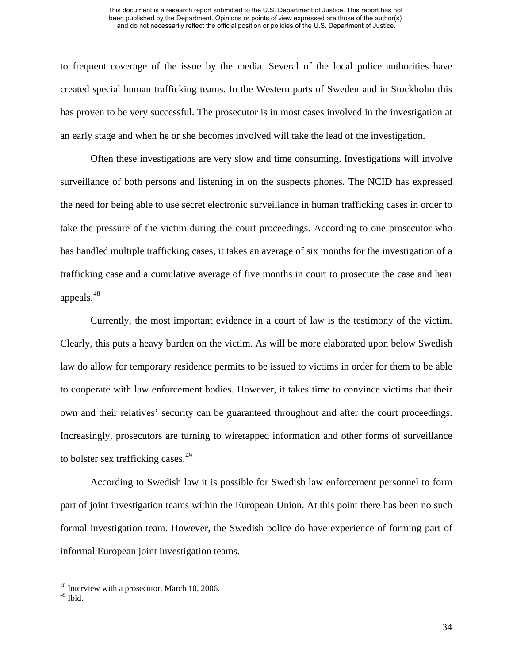to frequent coverage of the issue by the media. Several of the local police authorities have created special human trafficking teams. In the Western parts of Sweden and in Stockholm this has proven to be very successful. The prosecutor is in most cases involved in the investigation at an early stage and when he or she becomes involved will take the lead of the investigation.

Often these investigations are very slow and time consuming. Investigations will involve surveillance of both persons and listening in on the suspects phones. The NCID has expressed the need for being able to use secret electronic surveillance in human trafficking cases in order to take the pressure of the victim during the court proceedings. According to one prosecutor who has handled multiple trafficking cases, it takes an average of six months for the investigation of a trafficking case and a cumulative average of five months in court to prosecute the case and hear appeals.[48](#page-38-0)

Currently, the most important evidence in a court of law is the testimony of the victim. Clearly, this puts a heavy burden on the victim. As will be more elaborated upon below Swedish law do allow for temporary residence permits to be issued to victims in order for them to be able to cooperate with law enforcement bodies. However, it takes time to convince victims that their own and their relatives' security can be guaranteed throughout and after the court proceedings. Increasingly, prosecutors are turning to wiretapped information and other forms of surveillance to bolster sex trafficking cases.<sup>[49](#page-38-1)</sup>

According to Swedish law it is possible for Swedish law enforcement personnel to form part of joint investigation teams within the European Union. At this point there has been no such formal investigation team. However, the Swedish police do have experience of forming part of informal European joint investigation teams.

<sup>&</sup>lt;sup>48</sup> Interview with a prosecutor, March 10, 2006.

<span id="page-38-1"></span><span id="page-38-0"></span> $49$  Ibid.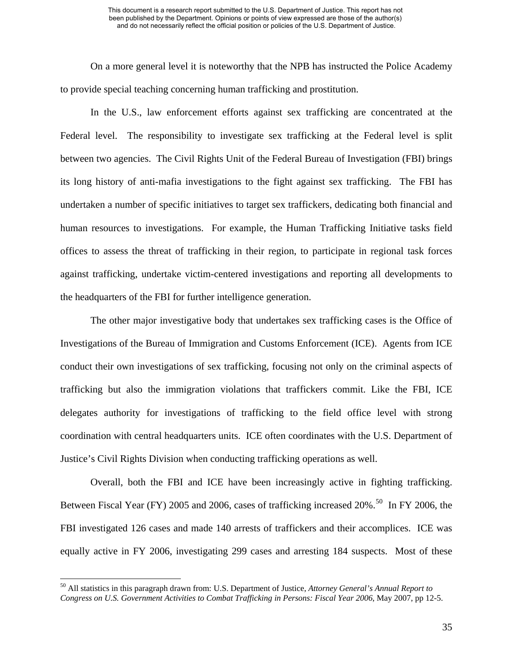On a more general level it is noteworthy that the NPB has instructed the Police Academy to provide special teaching concerning human trafficking and prostitution.

In the U.S., law enforcement efforts against sex trafficking are concentrated at the Federal level. The responsibility to investigate sex trafficking at the Federal level is split between two agencies. The Civil Rights Unit of the Federal Bureau of Investigation (FBI) brings its long history of anti-mafia investigations to the fight against sex trafficking. The FBI has undertaken a number of specific initiatives to target sex traffickers, dedicating both financial and human resources to investigations. For example, the Human Trafficking Initiative tasks field offices to assess the threat of trafficking in their region, to participate in regional task forces against trafficking, undertake victim-centered investigations and reporting all developments to the headquarters of the FBI for further intelligence generation.

The other major investigative body that undertakes sex trafficking cases is the Office of Investigations of the Bureau of Immigration and Customs Enforcement (ICE). Agents from ICE conduct their own investigations of sex trafficking, focusing not only on the criminal aspects of trafficking but also the immigration violations that traffickers commit. Like the FBI, ICE delegates authority for investigations of trafficking to the field office level with strong coordination with central headquarters units. ICE often coordinates with the U.S. Department of Justice's Civil Rights Division when conducting trafficking operations as well.

 Overall, both the FBI and ICE have been increasingly active in fighting trafficking. Between Fiscal Year (FY) 2005 and 2006, cases of trafficking increased  $20\%$ .<sup>[50](#page-39-0)</sup> In FY 2006, the FBI investigated 126 cases and made 140 arrests of traffickers and their accomplices. ICE was equally active in FY 2006, investigating 299 cases and arresting 184 suspects. Most of these

<span id="page-39-0"></span><sup>50</sup> All statistics in this paragraph drawn from: U.S. Department of Justice, *Attorney General's Annual Report to Congress on U.S. Government Activities to Combat Trafficking in Persons: Fiscal Year 2006*, May 2007, pp 12-5.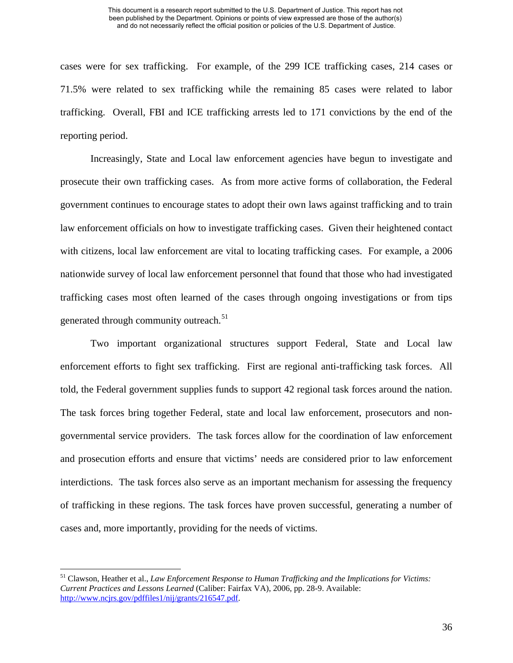cases were for sex trafficking. For example, of the 299 ICE trafficking cases, 214 cases or 71.5% were related to sex trafficking while the remaining 85 cases were related to labor trafficking. Overall, FBI and ICE trafficking arrests led to 171 convictions by the end of the reporting period.

Increasingly, State and Local law enforcement agencies have begun to investigate and prosecute their own trafficking cases. As from more active forms of collaboration, the Federal government continues to encourage states to adopt their own laws against trafficking and to train law enforcement officials on how to investigate trafficking cases. Given their heightened contact with citizens, local law enforcement are vital to locating trafficking cases. For example, a 2006 nationwide survey of local law enforcement personnel that found that those who had investigated trafficking cases most often learned of the cases through ongoing investigations or from tips generated through community outreach.<sup>[51](#page-40-0)</sup>

Two important organizational structures support Federal, State and Local law enforcement efforts to fight sex trafficking. First are regional anti-trafficking task forces. All told, the Federal government supplies funds to support 42 regional task forces around the nation. The task forces bring together Federal, state and local law enforcement, prosecutors and nongovernmental service providers. The task forces allow for the coordination of law enforcement and prosecution efforts and ensure that victims' needs are considered prior to law enforcement interdictions. The task forces also serve as an important mechanism for assessing the frequency of trafficking in these regions. The task forces have proven successful, generating a number of cases and, more importantly, providing for the needs of victims.

<span id="page-40-0"></span><sup>51</sup> Clawson, Heather et al., *Law Enforcement Response to Human Trafficking and the Implications for Victims: Current Practices and Lessons Learned* (Caliber: Fairfax VA), 2006, pp. 28-9. Available: <http://www.ncjrs.gov/pdffiles1/nij/grants/216547.pdf>.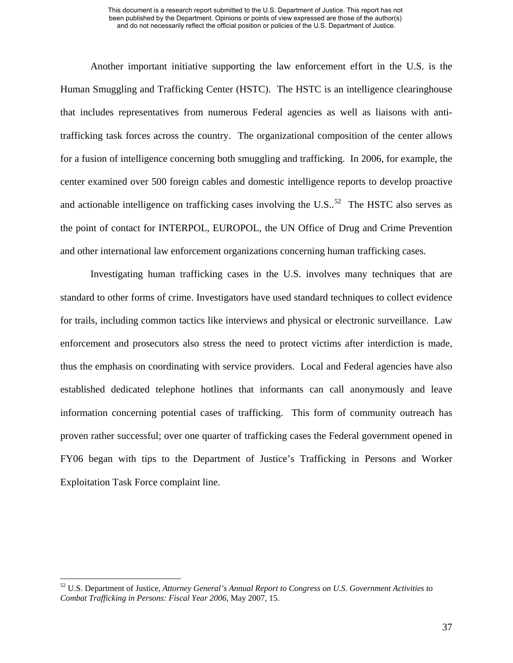Another important initiative supporting the law enforcement effort in the U.S. is the Human Smuggling and Trafficking Center (HSTC). The HSTC is an intelligence clearinghouse that includes representatives from numerous Federal agencies as well as liaisons with antitrafficking task forces across the country. The organizational composition of the center allows for a fusion of intelligence concerning both smuggling and trafficking. In 2006, for example, the center examined over 500 foreign cables and domestic intelligence reports to develop proactive and actionable intelligence on trafficking cases involving the U.S..<sup>[52](#page-41-0)</sup> The HSTC also serves as the point of contact for INTERPOL, EUROPOL, the UN Office of Drug and Crime Prevention and other international law enforcement organizations concerning human trafficking cases.

Investigating human trafficking cases in the U.S. involves many techniques that are standard to other forms of crime. Investigators have used standard techniques to collect evidence for trails, including common tactics like interviews and physical or electronic surveillance. Law enforcement and prosecutors also stress the need to protect victims after interdiction is made, thus the emphasis on coordinating with service providers. Local and Federal agencies have also established dedicated telephone hotlines that informants can call anonymously and leave information concerning potential cases of trafficking. This form of community outreach has proven rather successful; over one quarter of trafficking cases the Federal government opened in FY06 began with tips to the Department of Justice's Trafficking in Persons and Worker Exploitation Task Force complaint line.

<span id="page-41-0"></span><sup>52</sup> U.S. Department of Justice, *Attorney General's Annual Report to Congress on U.S. Government Activities to Combat Trafficking in Persons: Fiscal Year 2006*, May 2007, 15.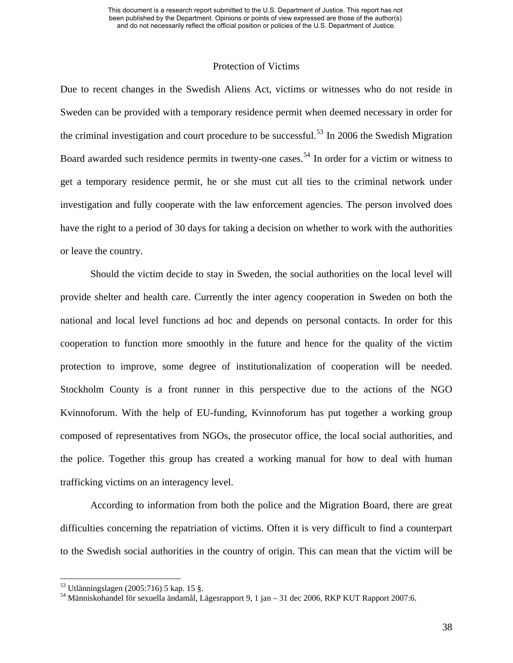### Protection of Victims

Due to recent changes in the Swedish Aliens Act, victims or witnesses who do not reside in Sweden can be provided with a temporary residence permit when deemed necessary in order for the criminal investigation and court procedure to be successful.<sup>[53](#page-42-0)</sup> In 2006 the Swedish Migration Board awarded such residence permits in twenty-one cases.<sup>[54](#page-42-1)</sup> In order for a victim or witness to get a temporary residence permit, he or she must cut all ties to the criminal network under investigation and fully cooperate with the law enforcement agencies. The person involved does have the right to a period of 30 days for taking a decision on whether to work with the authorities or leave the country.

Should the victim decide to stay in Sweden, the social authorities on the local level will provide shelter and health care. Currently the inter agency cooperation in Sweden on both the national and local level functions ad hoc and depends on personal contacts. In order for this cooperation to function more smoothly in the future and hence for the quality of the victim protection to improve, some degree of institutionalization of cooperation will be needed. Stockholm County is a front runner in this perspective due to the actions of the NGO Kvinnoforum. With the help of EU-funding, Kvinnoforum has put together a working group composed of representatives from NGOs, the prosecutor office, the local social authorities, and the police. Together this group has created a working manual for how to deal with human trafficking victims on an interagency level.

According to information from both the police and the Migration Board, there are great difficulties concerning the repatriation of victims. Often it is very difficult to find a counterpart to the Swedish social authorities in the country of origin. This can mean that the victim will be

<span id="page-42-0"></span><sup>53</sup> Utlänningslagen (2005:716) 5 kap. 15 §.

<span id="page-42-1"></span><sup>54</sup> Människohandel för sexuella ändamål, Lägesrapport 9, 1 jan – 31 dec 2006, RKP KUT Rapport 2007:6.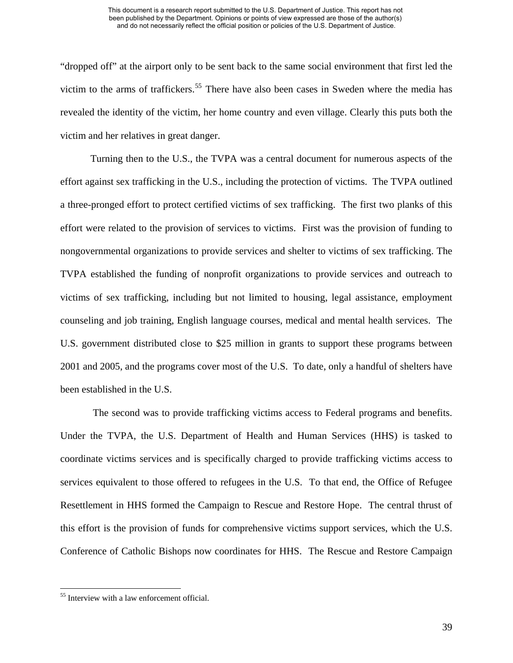"dropped off" at the airport only to be sent back to the same social environment that first led the victim to the arms of traffickers.<sup>[55](#page-43-0)</sup> There have also been cases in Sweden where the media has revealed the identity of the victim, her home country and even village. Clearly this puts both the victim and her relatives in great danger.

Turning then to the U.S., the TVPA was a central document for numerous aspects of the effort against sex trafficking in the U.S., including the protection of victims. The TVPA outlined a three-pronged effort to protect certified victims of sex trafficking. The first two planks of this effort were related to the provision of services to victims. First was the provision of funding to nongovernmental organizations to provide services and shelter to victims of sex trafficking. The TVPA established the funding of nonprofit organizations to provide services and outreach to victims of sex trafficking, including but not limited to housing, legal assistance, employment counseling and job training, English language courses, medical and mental health services. The U.S. government distributed close to \$25 million in grants to support these programs between 2001 and 2005, and the programs cover most of the U.S. To date, only a handful of shelters have been established in the U.S.

 The second was to provide trafficking victims access to Federal programs and benefits. Under the TVPA, the U.S. Department of Health and Human Services (HHS) is tasked to coordinate victims services and is specifically charged to provide trafficking victims access to services equivalent to those offered to refugees in the U.S. To that end, the Office of Refugee Resettlement in HHS formed the Campaign to Rescue and Restore Hope. The central thrust of this effort is the provision of funds for comprehensive victims support services, which the U.S. Conference of Catholic Bishops now coordinates for HHS. The Rescue and Restore Campaign

<span id="page-43-0"></span><sup>55</sup> Interview with a law enforcement official.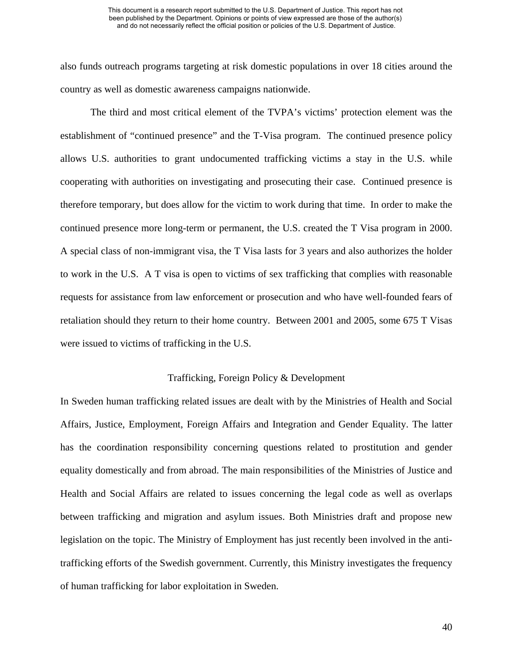also funds outreach programs targeting at risk domestic populations in over 18 cities around the country as well as domestic awareness campaigns nationwide.

 The third and most critical element of the TVPA's victims' protection element was the establishment of "continued presence" and the T-Visa program. The continued presence policy allows U.S. authorities to grant undocumented trafficking victims a stay in the U.S. while cooperating with authorities on investigating and prosecuting their case. Continued presence is therefore temporary, but does allow for the victim to work during that time. In order to make the continued presence more long-term or permanent, the U.S. created the T Visa program in 2000. A special class of non-immigrant visa, the T Visa lasts for 3 years and also authorizes the holder to work in the U.S. A T visa is open to victims of sex trafficking that complies with reasonable requests for assistance from law enforcement or prosecution and who have well-founded fears of retaliation should they return to their home country. Between 2001 and 2005, some 675 T Visas were issued to victims of trafficking in the U.S.

# Trafficking, Foreign Policy & Development

In Sweden human trafficking related issues are dealt with by the Ministries of Health and Social Affairs, Justice, Employment, Foreign Affairs and Integration and Gender Equality. The latter has the coordination responsibility concerning questions related to prostitution and gender equality domestically and from abroad. The main responsibilities of the Ministries of Justice and Health and Social Affairs are related to issues concerning the legal code as well as overlaps between trafficking and migration and asylum issues. Both Ministries draft and propose new legislation on the topic. The Ministry of Employment has just recently been involved in the antitrafficking efforts of the Swedish government. Currently, this Ministry investigates the frequency of human trafficking for labor exploitation in Sweden.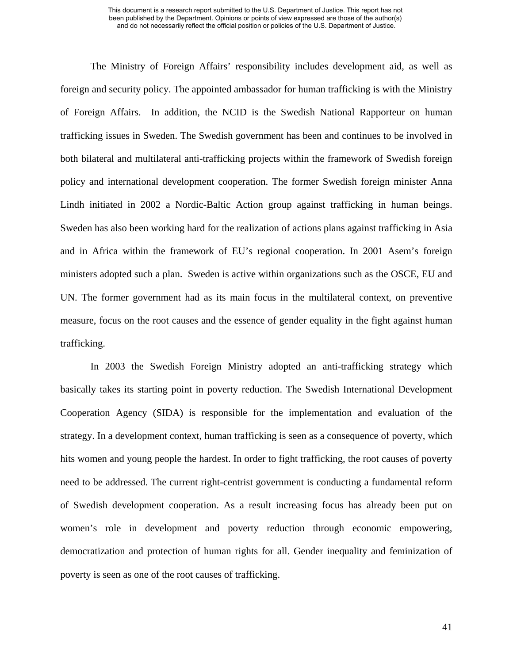The Ministry of Foreign Affairs' responsibility includes development aid, as well as foreign and security policy. The appointed ambassador for human trafficking is with the Ministry of Foreign Affairs. In addition, the NCID is the Swedish National Rapporteur on human trafficking issues in Sweden. The Swedish government has been and continues to be involved in both bilateral and multilateral anti-trafficking projects within the framework of Swedish foreign policy and international development cooperation. The former Swedish foreign minister Anna Lindh initiated in 2002 a Nordic-Baltic Action group against trafficking in human beings. Sweden has also been working hard for the realization of actions plans against trafficking in Asia and in Africa within the framework of EU's regional cooperation. In 2001 Asem's foreign ministers adopted such a plan. Sweden is active within organizations such as the OSCE, EU and UN. The former government had as its main focus in the multilateral context, on preventive measure, focus on the root causes and the essence of gender equality in the fight against human trafficking.

In 2003 the Swedish Foreign Ministry adopted an anti-trafficking strategy which basically takes its starting point in poverty reduction. The Swedish International Development Cooperation Agency (SIDA) is responsible for the implementation and evaluation of the strategy. In a development context, human trafficking is seen as a consequence of poverty, which hits women and young people the hardest. In order to fight trafficking, the root causes of poverty need to be addressed. The current right-centrist government is conducting a fundamental reform of Swedish development cooperation. As a result increasing focus has already been put on women's role in development and poverty reduction through economic empowering, democratization and protection of human rights for all. Gender inequality and feminization of poverty is seen as one of the root causes of trafficking.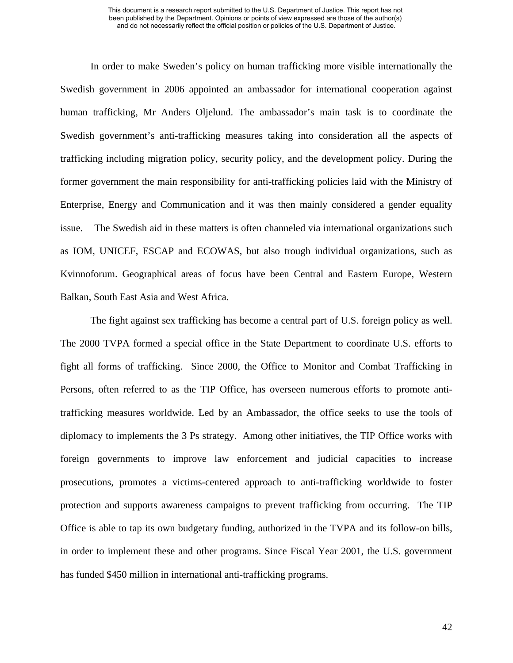In order to make Sweden's policy on human trafficking more visible internationally the Swedish government in 2006 appointed an ambassador for international cooperation against human trafficking, Mr Anders Oljelund. The ambassador's main task is to coordinate the Swedish government's anti-trafficking measures taking into consideration all the aspects of trafficking including migration policy, security policy, and the development policy. During the former government the main responsibility for anti-trafficking policies laid with the Ministry of Enterprise, Energy and Communication and it was then mainly considered a gender equality issue. The Swedish aid in these matters is often channeled via international organizations such as IOM, UNICEF, ESCAP and ECOWAS, but also trough individual organizations, such as Kvinnoforum. Geographical areas of focus have been Central and Eastern Europe, Western Balkan, South East Asia and West Africa.

The fight against sex trafficking has become a central part of U.S. foreign policy as well. The 2000 TVPA formed a special office in the State Department to coordinate U.S. efforts to fight all forms of trafficking. Since 2000, the Office to Monitor and Combat Trafficking in Persons, often referred to as the TIP Office, has overseen numerous efforts to promote antitrafficking measures worldwide. Led by an Ambassador, the office seeks to use the tools of diplomacy to implements the 3 Ps strategy. Among other initiatives, the TIP Office works with foreign governments to improve law enforcement and judicial capacities to increase prosecutions, promotes a victims-centered approach to anti-trafficking worldwide to foster protection and supports awareness campaigns to prevent trafficking from occurring. The TIP Office is able to tap its own budgetary funding, authorized in the TVPA and its follow-on bills, in order to implement these and other programs. Since Fiscal Year 2001, the U.S. government has funded \$450 million in international anti-trafficking programs.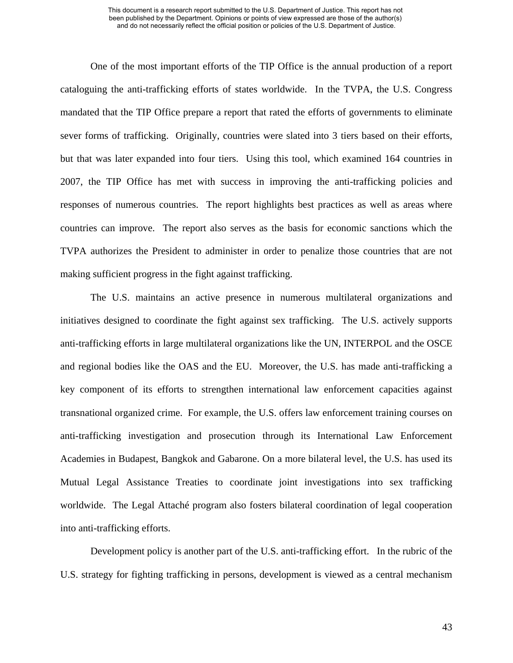One of the most important efforts of the TIP Office is the annual production of a report cataloguing the anti-trafficking efforts of states worldwide. In the TVPA, the U.S. Congress mandated that the TIP Office prepare a report that rated the efforts of governments to eliminate sever forms of trafficking. Originally, countries were slated into 3 tiers based on their efforts, but that was later expanded into four tiers. Using this tool, which examined 164 countries in 2007, the TIP Office has met with success in improving the anti-trafficking policies and responses of numerous countries. The report highlights best practices as well as areas where countries can improve. The report also serves as the basis for economic sanctions which the TVPA authorizes the President to administer in order to penalize those countries that are not making sufficient progress in the fight against trafficking.

The U.S. maintains an active presence in numerous multilateral organizations and initiatives designed to coordinate the fight against sex trafficking. The U.S. actively supports anti-trafficking efforts in large multilateral organizations like the UN, INTERPOL and the OSCE and regional bodies like the OAS and the EU. Moreover, the U.S. has made anti-trafficking a key component of its efforts to strengthen international law enforcement capacities against transnational organized crime. For example, the U.S. offers law enforcement training courses on anti-trafficking investigation and prosecution through its International Law Enforcement Academies in Budapest, Bangkok and Gabarone. On a more bilateral level, the U.S. has used its Mutual Legal Assistance Treaties to coordinate joint investigations into sex trafficking worldwide. The Legal Attaché program also fosters bilateral coordination of legal cooperation into anti-trafficking efforts.

Development policy is another part of the U.S. anti-trafficking effort. In the rubric of the U.S. strategy for fighting trafficking in persons, development is viewed as a central mechanism

43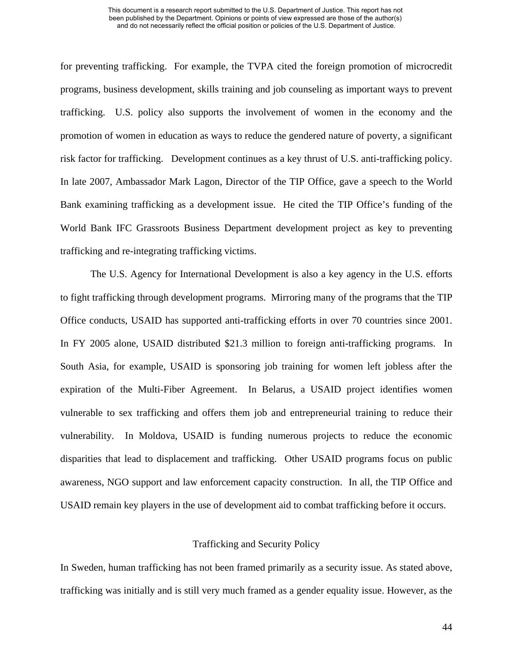for preventing trafficking. For example, the TVPA cited the foreign promotion of microcredit programs, business development, skills training and job counseling as important ways to prevent trafficking. U.S. policy also supports the involvement of women in the economy and the promotion of women in education as ways to reduce the gendered nature of poverty, a significant risk factor for trafficking. Development continues as a key thrust of U.S. anti-trafficking policy. In late 2007, Ambassador Mark Lagon, Director of the TIP Office, gave a speech to the World Bank examining trafficking as a development issue. He cited the TIP Office's funding of the World Bank IFC Grassroots Business Department development project as key to preventing trafficking and re-integrating trafficking victims.

 The U.S. Agency for International Development is also a key agency in the U.S. efforts to fight trafficking through development programs. Mirroring many of the programs that the TIP Office conducts, USAID has supported anti-trafficking efforts in over 70 countries since 2001. In FY 2005 alone, USAID distributed \$21.3 million to foreign anti-trafficking programs. In South Asia, for example, USAID is sponsoring job training for women left jobless after the expiration of the Multi-Fiber Agreement. In Belarus, a USAID project identifies women vulnerable to sex trafficking and offers them job and entrepreneurial training to reduce their vulnerability. In Moldova, USAID is funding numerous projects to reduce the economic disparities that lead to displacement and trafficking. Other USAID programs focus on public awareness, NGO support and law enforcement capacity construction. In all, the TIP Office and USAID remain key players in the use of development aid to combat trafficking before it occurs.

# Trafficking and Security Policy

In Sweden, human trafficking has not been framed primarily as a security issue. As stated above, trafficking was initially and is still very much framed as a gender equality issue. However, as the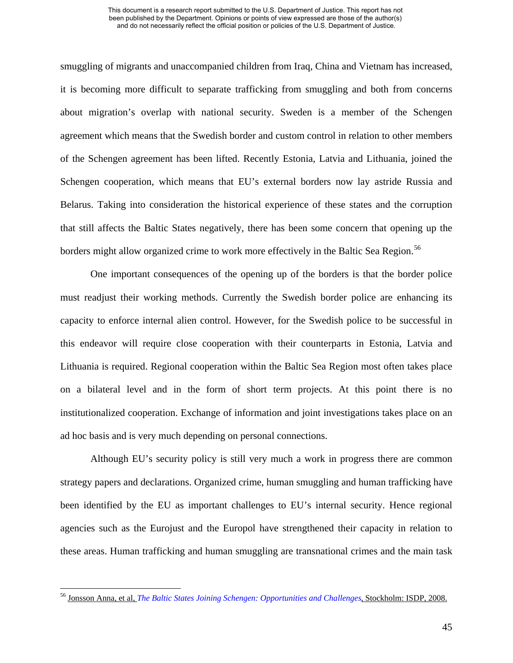smuggling of migrants and unaccompanied children from Iraq, China and Vietnam has increased, it is becoming more difficult to separate trafficking from smuggling and both from concerns about migration's overlap with national security. Sweden is a member of the Schengen agreement which means that the Swedish border and custom control in relation to other members of the Schengen agreement has been lifted. Recently Estonia, Latvia and Lithuania, joined the Schengen cooperation, which means that EU's external borders now lay astride Russia and Belarus. Taking into consideration the historical experience of these states and the corruption that still affects the Baltic States negatively, there has been some concern that opening up the borders might allow organized crime to work more effectively in the Baltic Sea Region.<sup>[56](#page-49-0)</sup>

One important consequences of the opening up of the borders is that the border police must readjust their working methods. Currently the Swedish border police are enhancing its capacity to enforce internal alien control. However, for the Swedish police to be successful in this endeavor will require close cooperation with their counterparts in Estonia, Latvia and Lithuania is required. Regional cooperation within the Baltic Sea Region most often takes place on a bilateral level and in the form of short term projects. At this point there is no institutionalized cooperation. Exchange of information and joint investigations takes place on an ad hoc basis and is very much depending on personal connections.

Although EU's security policy is still very much a work in progress there are common strategy papers and declarations. Organized crime, human smuggling and human trafficking have been identified by the EU as important challenges to EU's internal security. Hence regional agencies such as the Eurojust and the Europol have strengthened their capacity in relation to these areas. Human trafficking and human smuggling are transnational crimes and the main task

<span id="page-49-0"></span><sup>56</sup> Jonsson Anna, et al, *[The Baltic States Joining Schengen: Opportunities and Challenges](http://www.isdp.eu/files/publications/cr/08/The_Baltic_States_Joinng_Schengen.pdf)*, Stockholm: ISDP, 2008.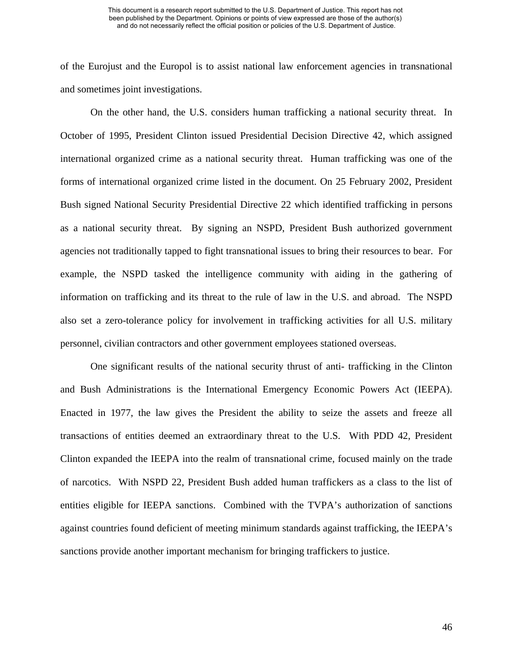of the Eurojust and the Europol is to assist national law enforcement agencies in transnational and sometimes joint investigations.

On the other hand, the U.S. considers human trafficking a national security threat. In October of 1995, President Clinton issued Presidential Decision Directive 42, which assigned international organized crime as a national security threat. Human trafficking was one of the forms of international organized crime listed in the document. On 25 February 2002, President Bush signed National Security Presidential Directive 22 which identified trafficking in persons as a national security threat. By signing an NSPD, President Bush authorized government agencies not traditionally tapped to fight transnational issues to bring their resources to bear. For example, the NSPD tasked the intelligence community with aiding in the gathering of information on trafficking and its threat to the rule of law in the U.S. and abroad. The NSPD also set a zero-tolerance policy for involvement in trafficking activities for all U.S. military personnel, civilian contractors and other government employees stationed overseas.

One significant results of the national security thrust of anti- trafficking in the Clinton and Bush Administrations is the International Emergency Economic Powers Act (IEEPA). Enacted in 1977, the law gives the President the ability to seize the assets and freeze all transactions of entities deemed an extraordinary threat to the U.S. With PDD 42, President Clinton expanded the IEEPA into the realm of transnational crime, focused mainly on the trade of narcotics. With NSPD 22, President Bush added human traffickers as a class to the list of entities eligible for IEEPA sanctions. Combined with the TVPA's authorization of sanctions against countries found deficient of meeting minimum standards against trafficking, the IEEPA's sanctions provide another important mechanism for bringing traffickers to justice.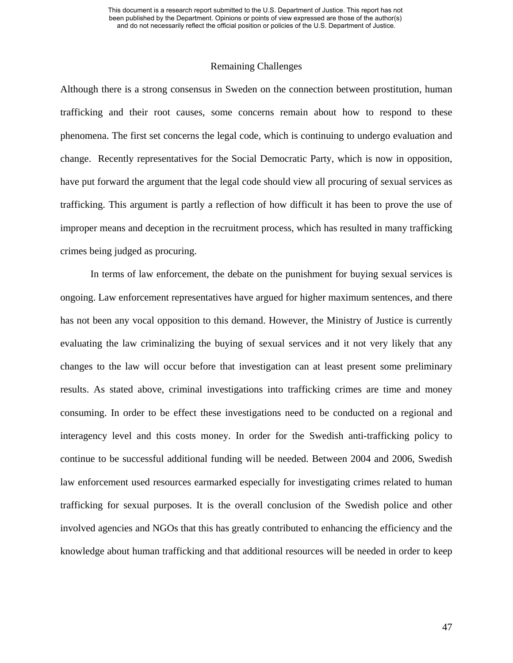### Remaining Challenges

Although there is a strong consensus in Sweden on the connection between prostitution, human trafficking and their root causes, some concerns remain about how to respond to these phenomena. The first set concerns the legal code, which is continuing to undergo evaluation and change. Recently representatives for the Social Democratic Party, which is now in opposition, have put forward the argument that the legal code should view all procuring of sexual services as trafficking. This argument is partly a reflection of how difficult it has been to prove the use of improper means and deception in the recruitment process, which has resulted in many trafficking crimes being judged as procuring.

In terms of law enforcement, the debate on the punishment for buying sexual services is ongoing. Law enforcement representatives have argued for higher maximum sentences, and there has not been any vocal opposition to this demand. However, the Ministry of Justice is currently evaluating the law criminalizing the buying of sexual services and it not very likely that any changes to the law will occur before that investigation can at least present some preliminary results. As stated above, criminal investigations into trafficking crimes are time and money consuming. In order to be effect these investigations need to be conducted on a regional and interagency level and this costs money. In order for the Swedish anti-trafficking policy to continue to be successful additional funding will be needed. Between 2004 and 2006, Swedish law enforcement used resources earmarked especially for investigating crimes related to human trafficking for sexual purposes. It is the overall conclusion of the Swedish police and other involved agencies and NGOs that this has greatly contributed to enhancing the efficiency and the knowledge about human trafficking and that additional resources will be needed in order to keep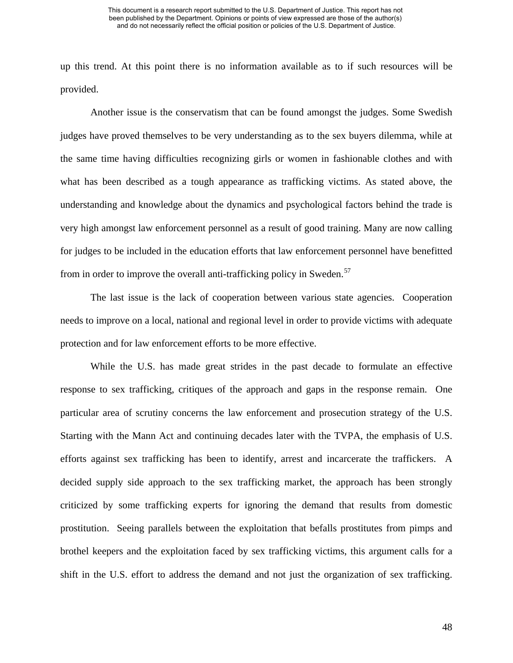up this trend. At this point there is no information available as to if such resources will be provided.

Another issue is the conservatism that can be found amongst the judges. Some Swedish judges have proved themselves to be very understanding as to the sex buyers dilemma, while at the same time having difficulties recognizing girls or women in fashionable clothes and with what has been described as a tough appearance as trafficking victims. As stated above, the understanding and knowledge about the dynamics and psychological factors behind the trade is very high amongst law enforcement personnel as a result of good training. Many are now calling for judges to be included in the education efforts that law enforcement personnel have benefitted from in order to improve the overall anti-trafficking policy in Sweden.<sup>[57](#page-52-0)</sup>

 The last issue is the lack of cooperation between various state agencies. Cooperation needs to improve on a local, national and regional level in order to provide victims with adequate protection and for law enforcement efforts to be more effective.

<span id="page-52-0"></span>While the U.S. has made great strides in the past decade to formulate an effective response to sex trafficking, critiques of the approach and gaps in the response remain. One particular area of scrutiny concerns the law enforcement and prosecution strategy of the U.S. Starting with the Mann Act and continuing decades later with the TVPA, the emphasis of U.S. efforts against sex trafficking has been to identify, arrest and incarcerate the traffickers. A decided supply side approach to the sex trafficking market, the approach has been strongly criticized by some trafficking experts for ignoring the demand that results from domestic prostitution. Seeing parallels between the exploitation that befalls prostitutes from pimps and brothel keepers and the exploitation faced by sex trafficking victims, this argument calls for a shift in the U.S. effort to address the demand and not just the organization of sex trafficking.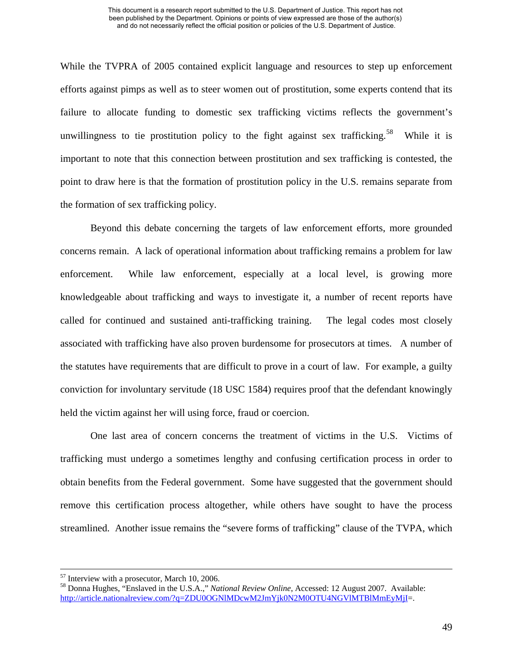<span id="page-53-0"></span>While the TVPRA of 2005 contained explicit language and resources to step up enforcement efforts against pimps as well as to steer women out of prostitution, some experts contend that its failure to allocate funding to domestic sex trafficking victims reflects the government's unwillingness to tie prostitution policy to the fight against sex trafficking.<sup>[58](#page-53-0)</sup> While it is important to note that this connection between prostitution and sex trafficking is contested, the point to draw here is that the formation of prostitution policy in the U.S. remains separate from the formation of sex trafficking policy.

Beyond this debate concerning the targets of law enforcement efforts, more grounded concerns remain. A lack of operational information about trafficking remains a problem for law enforcement. While law enforcement, especially at a local level, is growing more knowledgeable about trafficking and ways to investigate it, a number of recent reports have called for continued and sustained anti-trafficking training. The legal codes most closely associated with trafficking have also proven burdensome for prosecutors at times. A number of the statutes have requirements that are difficult to prove in a court of law. For example, a guilty conviction for involuntary servitude (18 USC 1584) requires proof that the defendant knowingly held the victim against her will using force, fraud or coercion.

 One last area of concern concerns the treatment of victims in the U.S. Victims of trafficking must undergo a sometimes lengthy and confusing certification process in order to obtain benefits from the Federal government. Some have suggested that the government should remove this certification process altogether, while others have sought to have the process streamlined. Another issue remains the "severe forms of trafficking" clause of the TVPA, which

 <sup>57</sup> Interview with a prosecutor, March 10, 2006.

<sup>58</sup> Donna Hughes, "Enslaved in the U.S.A.," *National Review Online*, Accessed: 12 August 2007. Available: <http://article.nationalreview.com/?q=ZDU0OGNlMDcwM2JmYjk0N2M0OTU4NGVlMTBlMmEyMjI>=.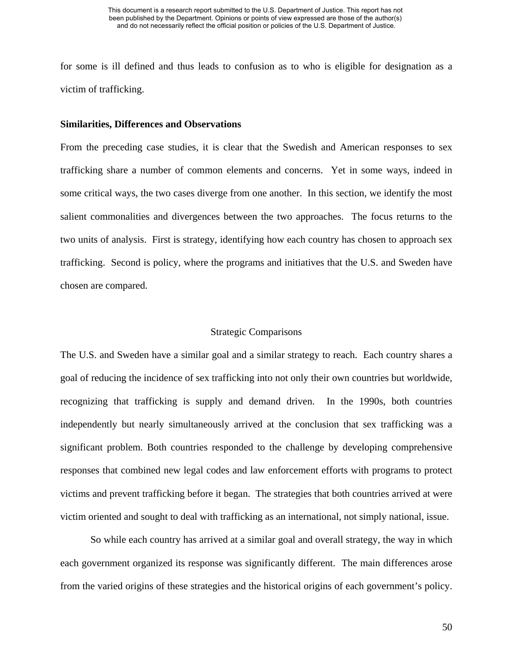for some is ill defined and thus leads to confusion as to who is eligible for designation as a victim of trafficking.

# **Similarities, Differences and Observations**

From the preceding case studies, it is clear that the Swedish and American responses to sex trafficking share a number of common elements and concerns. Yet in some ways, indeed in some critical ways, the two cases diverge from one another. In this section, we identify the most salient commonalities and divergences between the two approaches. The focus returns to the two units of analysis. First is strategy, identifying how each country has chosen to approach sex trafficking. Second is policy, where the programs and initiatives that the U.S. and Sweden have chosen are compared.

# Strategic Comparisons

The U.S. and Sweden have a similar goal and a similar strategy to reach. Each country shares a goal of reducing the incidence of sex trafficking into not only their own countries but worldwide, recognizing that trafficking is supply and demand driven. In the 1990s, both countries independently but nearly simultaneously arrived at the conclusion that sex trafficking was a significant problem. Both countries responded to the challenge by developing comprehensive responses that combined new legal codes and law enforcement efforts with programs to protect victims and prevent trafficking before it began. The strategies that both countries arrived at were victim oriented and sought to deal with trafficking as an international, not simply national, issue.

So while each country has arrived at a similar goal and overall strategy, the way in which each government organized its response was significantly different. The main differences arose from the varied origins of these strategies and the historical origins of each government's policy.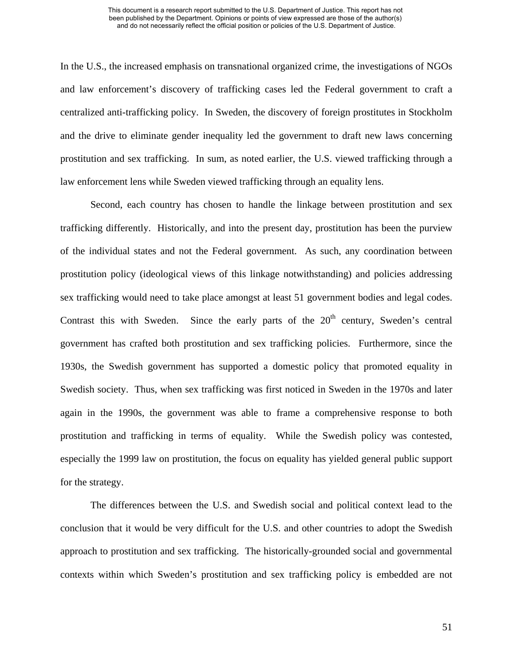In the U.S., the increased emphasis on transnational organized crime, the investigations of NGOs and law enforcement's discovery of trafficking cases led the Federal government to craft a centralized anti-trafficking policy. In Sweden, the discovery of foreign prostitutes in Stockholm and the drive to eliminate gender inequality led the government to draft new laws concerning prostitution and sex trafficking. In sum, as noted earlier, the U.S. viewed trafficking through a law enforcement lens while Sweden viewed trafficking through an equality lens.

Second, each country has chosen to handle the linkage between prostitution and sex trafficking differently. Historically, and into the present day, prostitution has been the purview of the individual states and not the Federal government. As such, any coordination between prostitution policy (ideological views of this linkage notwithstanding) and policies addressing sex trafficking would need to take place amongst at least 51 government bodies and legal codes. Contrast this with Sweden. Since the early parts of the  $20<sup>th</sup>$  century, Sweden's central government has crafted both prostitution and sex trafficking policies. Furthermore, since the 1930s, the Swedish government has supported a domestic policy that promoted equality in Swedish society. Thus, when sex trafficking was first noticed in Sweden in the 1970s and later again in the 1990s, the government was able to frame a comprehensive response to both prostitution and trafficking in terms of equality. While the Swedish policy was contested, especially the 1999 law on prostitution, the focus on equality has yielded general public support for the strategy.

The differences between the U.S. and Swedish social and political context lead to the conclusion that it would be very difficult for the U.S. and other countries to adopt the Swedish approach to prostitution and sex trafficking. The historically-grounded social and governmental contexts within which Sweden's prostitution and sex trafficking policy is embedded are not

51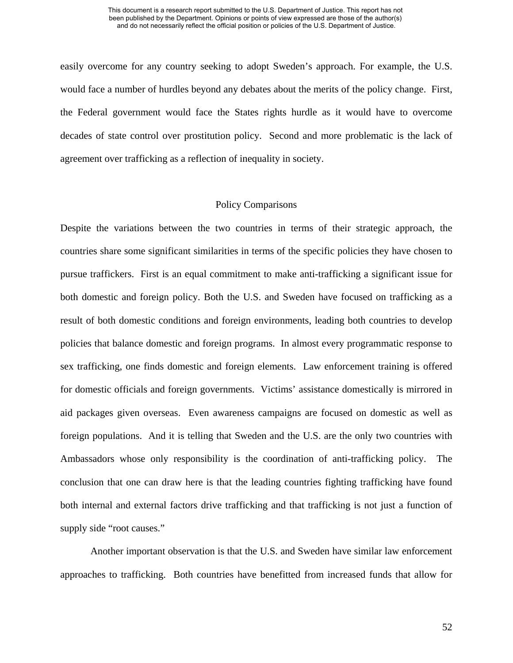easily overcome for any country seeking to adopt Sweden's approach. For example, the U.S. would face a number of hurdles beyond any debates about the merits of the policy change. First, the Federal government would face the States rights hurdle as it would have to overcome decades of state control over prostitution policy. Second and more problematic is the lack of agreement over trafficking as a reflection of inequality in society.

# Policy Comparisons

Despite the variations between the two countries in terms of their strategic approach, the countries share some significant similarities in terms of the specific policies they have chosen to pursue traffickers. First is an equal commitment to make anti-trafficking a significant issue for both domestic and foreign policy. Both the U.S. and Sweden have focused on trafficking as a result of both domestic conditions and foreign environments, leading both countries to develop policies that balance domestic and foreign programs. In almost every programmatic response to sex trafficking, one finds domestic and foreign elements. Law enforcement training is offered for domestic officials and foreign governments. Victims' assistance domestically is mirrored in aid packages given overseas. Even awareness campaigns are focused on domestic as well as foreign populations. And it is telling that Sweden and the U.S. are the only two countries with Ambassadors whose only responsibility is the coordination of anti-trafficking policy. The conclusion that one can draw here is that the leading countries fighting trafficking have found both internal and external factors drive trafficking and that trafficking is not just a function of supply side "root causes."

 Another important observation is that the U.S. and Sweden have similar law enforcement approaches to trafficking. Both countries have benefitted from increased funds that allow for

52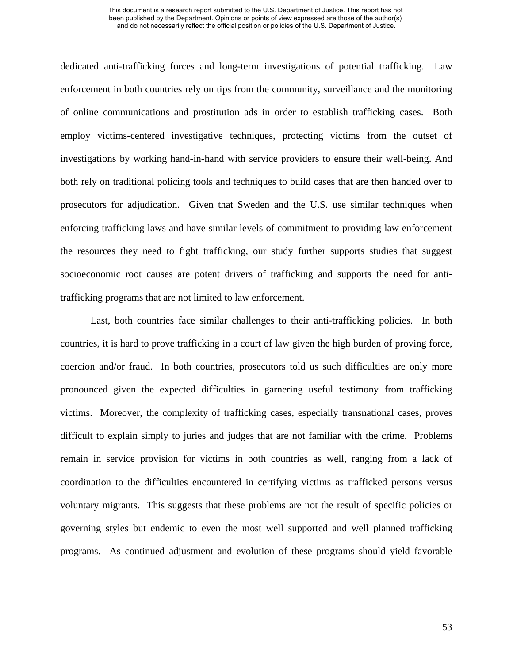dedicated anti-trafficking forces and long-term investigations of potential trafficking. Law enforcement in both countries rely on tips from the community, surveillance and the monitoring of online communications and prostitution ads in order to establish trafficking cases. Both employ victims-centered investigative techniques, protecting victims from the outset of investigations by working hand-in-hand with service providers to ensure their well-being. And both rely on traditional policing tools and techniques to build cases that are then handed over to prosecutors for adjudication. Given that Sweden and the U.S. use similar techniques when enforcing trafficking laws and have similar levels of commitment to providing law enforcement the resources they need to fight trafficking, our study further supports studies that suggest socioeconomic root causes are potent drivers of trafficking and supports the need for antitrafficking programs that are not limited to law enforcement.

 Last, both countries face similar challenges to their anti-trafficking policies. In both countries, it is hard to prove trafficking in a court of law given the high burden of proving force, coercion and/or fraud. In both countries, prosecutors told us such difficulties are only more pronounced given the expected difficulties in garnering useful testimony from trafficking victims. Moreover, the complexity of trafficking cases, especially transnational cases, proves difficult to explain simply to juries and judges that are not familiar with the crime. Problems remain in service provision for victims in both countries as well, ranging from a lack of coordination to the difficulties encountered in certifying victims as trafficked persons versus voluntary migrants. This suggests that these problems are not the result of specific policies or governing styles but endemic to even the most well supported and well planned trafficking programs. As continued adjustment and evolution of these programs should yield favorable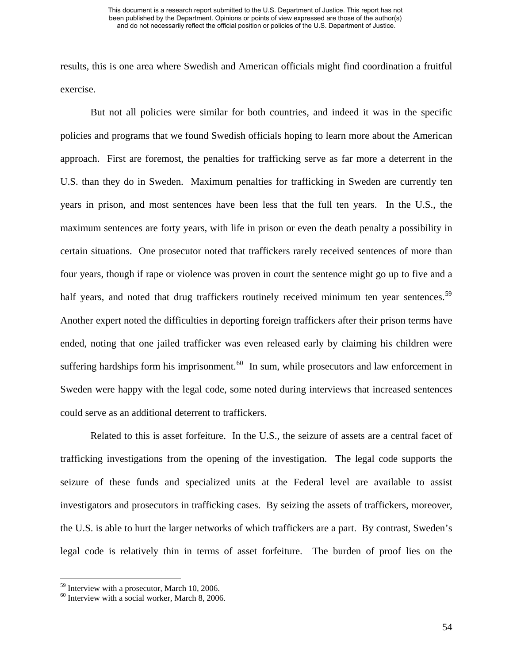results, this is one area where Swedish and American officials might find coordination a fruitful exercise.

 But not all policies were similar for both countries, and indeed it was in the specific policies and programs that we found Swedish officials hoping to learn more about the American approach. First are foremost, the penalties for trafficking serve as far more a deterrent in the U.S. than they do in Sweden. Maximum penalties for trafficking in Sweden are currently ten years in prison, and most sentences have been less that the full ten years. In the U.S., the maximum sentences are forty years, with life in prison or even the death penalty a possibility in certain situations. One prosecutor noted that traffickers rarely received sentences of more than four years, though if rape or violence was proven in court the sentence might go up to five and a half years, and noted that drug traffickers routinely received minimum ten year sentences.<sup>59</sup> Another expert noted the difficulties in deporting foreign traffickers after their prison terms have ended, noting that one jailed trafficker was even released early by claiming his children were suffering hardships form his imprisonment.<sup>[60](#page-58-1)</sup> In sum, while prosecutors and law enforcement in Sweden were happy with the legal code, some noted during interviews that increased sentences could serve as an additional deterrent to traffickers.

Related to this is asset forfeiture. In the U.S., the seizure of assets are a central facet of trafficking investigations from the opening of the investigation. The legal code supports the seizure of these funds and specialized units at the Federal level are available to assist investigators and prosecutors in trafficking cases. By seizing the assets of traffickers, moreover, the U.S. is able to hurt the larger networks of which traffickers are a part. By contrast, Sweden's legal code is relatively thin in terms of asset forfeiture. The burden of proof lies on the

<span id="page-58-0"></span><sup>59</sup> Interview with a prosecutor, March 10, 2006.

<span id="page-58-1"></span> $60$  Interview with a social worker, March 8, 2006.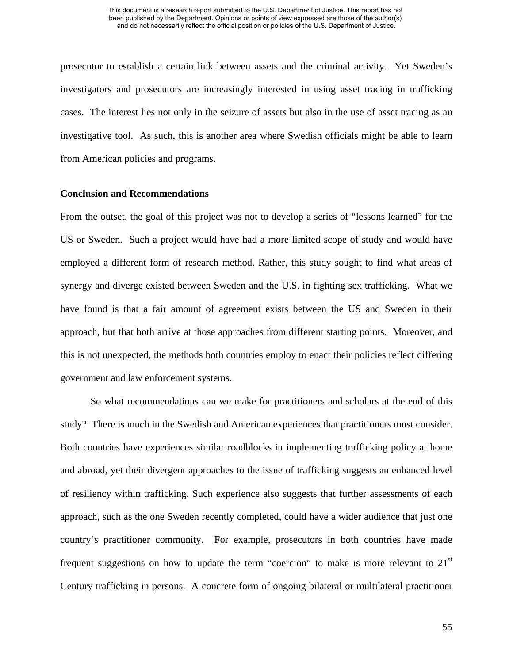prosecutor to establish a certain link between assets and the criminal activity. Yet Sweden's investigators and prosecutors are increasingly interested in using asset tracing in trafficking cases. The interest lies not only in the seizure of assets but also in the use of asset tracing as an investigative tool. As such, this is another area where Swedish officials might be able to learn from American policies and programs.

# **Conclusion and Recommendations**

From the outset, the goal of this project was not to develop a series of "lessons learned" for the US or Sweden. Such a project would have had a more limited scope of study and would have employed a different form of research method. Rather, this study sought to find what areas of synergy and diverge existed between Sweden and the U.S. in fighting sex trafficking. What we have found is that a fair amount of agreement exists between the US and Sweden in their approach, but that both arrive at those approaches from different starting points. Moreover, and this is not unexpected, the methods both countries employ to enact their policies reflect differing government and law enforcement systems.

 So what recommendations can we make for practitioners and scholars at the end of this study? There is much in the Swedish and American experiences that practitioners must consider. Both countries have experiences similar roadblocks in implementing trafficking policy at home and abroad, yet their divergent approaches to the issue of trafficking suggests an enhanced level of resiliency within trafficking. Such experience also suggests that further assessments of each approach, such as the one Sweden recently completed, could have a wider audience that just one country's practitioner community. For example, prosecutors in both countries have made frequent suggestions on how to update the term "coercion" to make is more relevant to  $21<sup>st</sup>$ Century trafficking in persons. A concrete form of ongoing bilateral or multilateral practitioner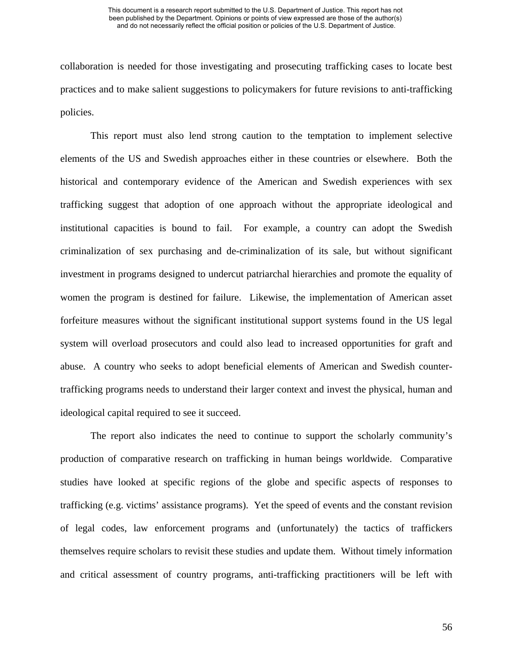collaboration is needed for those investigating and prosecuting trafficking cases to locate best practices and to make salient suggestions to policymakers for future revisions to anti-trafficking policies.

 This report must also lend strong caution to the temptation to implement selective elements of the US and Swedish approaches either in these countries or elsewhere. Both the historical and contemporary evidence of the American and Swedish experiences with sex trafficking suggest that adoption of one approach without the appropriate ideological and institutional capacities is bound to fail. For example, a country can adopt the Swedish criminalization of sex purchasing and de-criminalization of its sale, but without significant investment in programs designed to undercut patriarchal hierarchies and promote the equality of women the program is destined for failure. Likewise, the implementation of American asset forfeiture measures without the significant institutional support systems found in the US legal system will overload prosecutors and could also lead to increased opportunities for graft and abuse. A country who seeks to adopt beneficial elements of American and Swedish countertrafficking programs needs to understand their larger context and invest the physical, human and ideological capital required to see it succeed.

 The report also indicates the need to continue to support the scholarly community's production of comparative research on trafficking in human beings worldwide. Comparative studies have looked at specific regions of the globe and specific aspects of responses to trafficking (e.g. victims' assistance programs). Yet the speed of events and the constant revision of legal codes, law enforcement programs and (unfortunately) the tactics of traffickers themselves require scholars to revisit these studies and update them. Without timely information and critical assessment of country programs, anti-trafficking practitioners will be left with